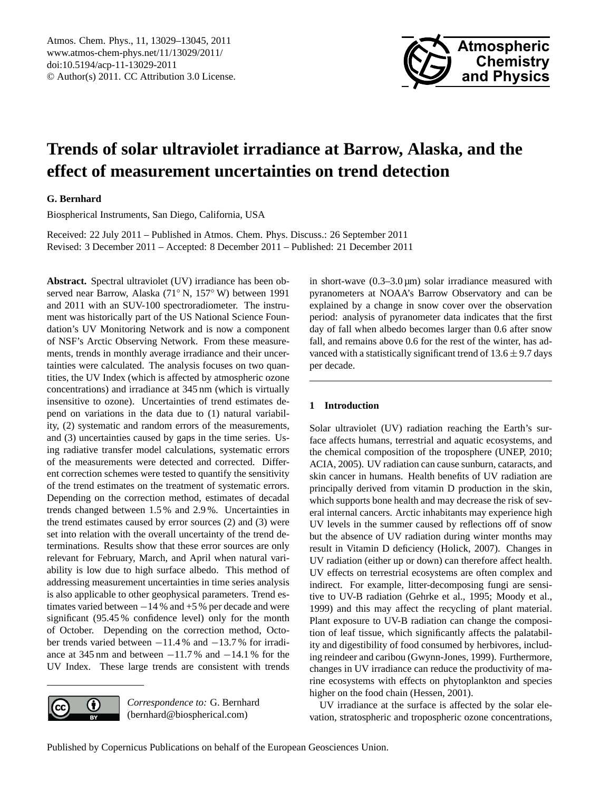

# <span id="page-0-0"></span>**Trends of solar ultraviolet irradiance at Barrow, Alaska, and the effect of measurement uncertainties on trend detection**

# **G. Bernhard**

Biospherical Instruments, San Diego, California, USA

Received: 22 July 2011 – Published in Atmos. Chem. Phys. Discuss.: 26 September 2011 Revised: 3 December 2011 – Accepted: 8 December 2011 – Published: 21 December 2011

**Abstract.** Spectral ultraviolet (UV) irradiance has been observed near Barrow, Alaska (71◦ N, 157◦ W) between 1991 and 2011 with an SUV-100 spectroradiometer. The instrument was historically part of the US National Science Foundation's UV Monitoring Network and is now a component of NSF's Arctic Observing Network. From these measurements, trends in monthly average irradiance and their uncertainties were calculated. The analysis focuses on two quantities, the UV Index (which is affected by atmospheric ozone concentrations) and irradiance at 345 nm (which is virtually insensitive to ozone). Uncertainties of trend estimates depend on variations in the data due to (1) natural variability, (2) systematic and random errors of the measurements, and (3) uncertainties caused by gaps in the time series. Using radiative transfer model calculations, systematic errors of the measurements were detected and corrected. Different correction schemes were tested to quantify the sensitivity of the trend estimates on the treatment of systematic errors. Depending on the correction method, estimates of decadal trends changed between 1.5 % and 2.9 %. Uncertainties in the trend estimates caused by error sources (2) and (3) were set into relation with the overall uncertainty of the trend determinations. Results show that these error sources are only relevant for February, March, and April when natural variability is low due to high surface albedo. This method of addressing measurement uncertainties in time series analysis is also applicable to other geophysical parameters. Trend estimates varied between  $-14%$  and  $+5%$  per decade and were significant (95.45 % confidence level) only for the month of October. Depending on the correction method, October trends varied between −11.4 % and −13.7 % for irradiance at 345 nm and between  $-11.7$ % and  $-14.1$ % for the UV Index. These large trends are consistent with trends



*Correspondence to:* G. Bernhard (bernhard@biospherical.com)

in short-wave  $(0.3-3.0 \,\mu\text{m})$  solar irradiance measured with pyranometers at NOAA's Barrow Observatory and can be explained by a change in snow cover over the observation period: analysis of pyranometer data indicates that the first day of fall when albedo becomes larger than 0.6 after snow fall, and remains above 0.6 for the rest of the winter, has advanced with a statistically significant trend of  $13.6 \pm 9.7$  days per decade.

# **1 Introduction**

Solar ultraviolet (UV) radiation reaching the Earth's surface affects humans, terrestrial and aquatic ecosystems, and the chemical composition of the troposphere (UNEP, 2010; ACIA, 2005). UV radiation can cause sunburn, cataracts, and skin cancer in humans. Health benefits of UV radiation are principally derived from vitamin D production in the skin, which supports bone health and may decrease the risk of several internal cancers. Arctic inhabitants may experience high UV levels in the summer caused by reflections off of snow but the absence of UV radiation during winter months may result in Vitamin D deficiency (Holick, 2007). Changes in UV radiation (either up or down) can therefore affect health. UV effects on terrestrial ecosystems are often complex and indirect. For example, litter-decomposing fungi are sensitive to UV-B radiation (Gehrke et al., 1995; Moody et al., 1999) and this may affect the recycling of plant material. Plant exposure to UV-B radiation can change the composition of leaf tissue, which significantly affects the palatability and digestibility of food consumed by herbivores, including reindeer and caribou (Gwynn-Jones, 1999). Furthermore, changes in UV irradiance can reduce the productivity of marine ecosystems with effects on phytoplankton and species higher on the food chain (Hessen, 2001).

UV irradiance at the surface is affected by the solar elevation, stratospheric and tropospheric ozone concentrations,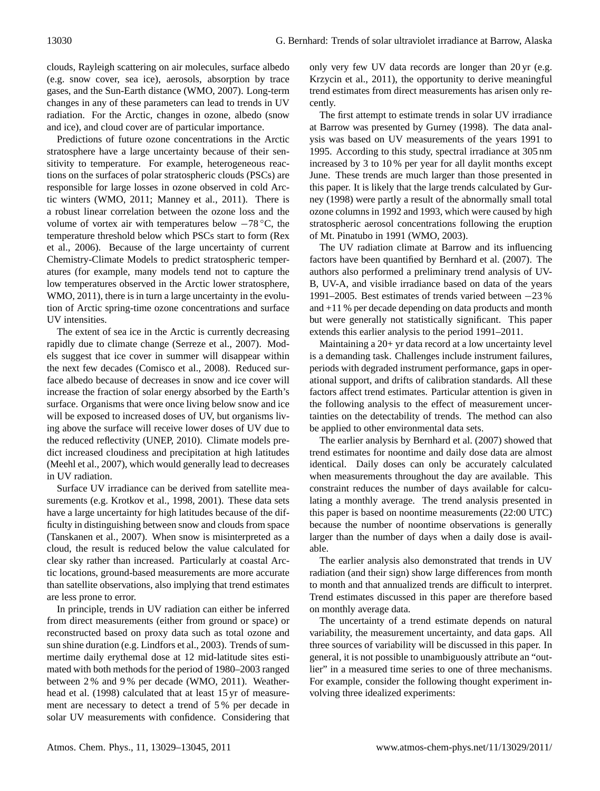clouds, Rayleigh scattering on air molecules, surface albedo (e.g. snow cover, sea ice), aerosols, absorption by trace gases, and the Sun-Earth distance (WMO, 2007). Long-term changes in any of these parameters can lead to trends in UV radiation. For the Arctic, changes in ozone, albedo (snow and ice), and cloud cover are of particular importance.

Predictions of future ozone concentrations in the Arctic stratosphere have a large uncertainty because of their sensitivity to temperature. For example, heterogeneous reactions on the surfaces of polar stratospheric clouds (PSCs) are responsible for large losses in ozone observed in cold Arctic winters (WMO, 2011; Manney et al., 2011). There is a robust linear correlation between the ozone loss and the volume of vortex air with temperatures below  $-78$  °C, the temperature threshold below which PSCs start to form (Rex et al., 2006). Because of the large uncertainty of current Chemistry-Climate Models to predict stratospheric temperatures (for example, many models tend not to capture the low temperatures observed in the Arctic lower stratosphere, WMO, 2011), there is in turn a large uncertainty in the evolution of Arctic spring-time ozone concentrations and surface UV intensities.

The extent of sea ice in the Arctic is currently decreasing rapidly due to climate change (Serreze et al., 2007). Models suggest that ice cover in summer will disappear within the next few decades (Comisco et al., 2008). Reduced surface albedo because of decreases in snow and ice cover will increase the fraction of solar energy absorbed by the Earth's surface. Organisms that were once living below snow and ice will be exposed to increased doses of UV, but organisms living above the surface will receive lower doses of UV due to the reduced reflectivity (UNEP, 2010). Climate models predict increased cloudiness and precipitation at high latitudes (Meehl et al., 2007), which would generally lead to decreases in UV radiation.

Surface UV irradiance can be derived from satellite measurements (e.g. Krotkov et al., 1998, 2001). These data sets have a large uncertainty for high latitudes because of the difficulty in distinguishing between snow and clouds from space (Tanskanen et al., 2007). When snow is misinterpreted as a cloud, the result is reduced below the value calculated for clear sky rather than increased. Particularly at coastal Arctic locations, ground-based measurements are more accurate than satellite observations, also implying that trend estimates are less prone to error.

In principle, trends in UV radiation can either be inferred from direct measurements (either from ground or space) or reconstructed based on proxy data such as total ozone and sun shine duration (e.g. Lindfors et al., 2003). Trends of summertime daily erythemal dose at 12 mid-latitude sites estimated with both methods for the period of 1980–2003 ranged between 2 % and 9 % per decade (WMO, 2011). Weatherhead et al. (1998) calculated that at least 15 yr of measurement are necessary to detect a trend of 5 % per decade in solar UV measurements with confidence. Considering that

only very few UV data records are longer than 20 yr (e.g. Krzycin et al., 2011), the opportunity to derive meaningful trend estimates from direct measurements has arisen only recently.

The first attempt to estimate trends in solar UV irradiance at Barrow was presented by Gurney (1998). The data analysis was based on UV measurements of the years 1991 to 1995. According to this study, spectral irradiance at 305 nm increased by 3 to 10 % per year for all daylit months except June. These trends are much larger than those presented in this paper. It is likely that the large trends calculated by Gurney (1998) were partly a result of the abnormally small total ozone columns in 1992 and 1993, which were caused by high stratospheric aerosol concentrations following the eruption of Mt. Pinatubo in 1991 (WMO, 2003).

The UV radiation climate at Barrow and its influencing factors have been quantified by Bernhard et al. (2007). The authors also performed a preliminary trend analysis of UV-B, UV-A, and visible irradiance based on data of the years 1991–2005. Best estimates of trends varied between −23 % and +11 % per decade depending on data products and month but were generally not statistically significant. This paper extends this earlier analysis to the period 1991–2011.

Maintaining a 20+ yr data record at a low uncertainty level is a demanding task. Challenges include instrument failures, periods with degraded instrument performance, gaps in operational support, and drifts of calibration standards. All these factors affect trend estimates. Particular attention is given in the following analysis to the effect of measurement uncertainties on the detectability of trends. The method can also be applied to other environmental data sets.

The earlier analysis by Bernhard et al. (2007) showed that trend estimates for noontime and daily dose data are almost identical. Daily doses can only be accurately calculated when measurements throughout the day are available. This constraint reduces the number of days available for calculating a monthly average. The trend analysis presented in this paper is based on noontime measurements (22:00 UTC) because the number of noontime observations is generally larger than the number of days when a daily dose is available.

The earlier analysis also demonstrated that trends in UV radiation (and their sign) show large differences from month to month and that annualized trends are difficult to interpret. Trend estimates discussed in this paper are therefore based on monthly average data.

The uncertainty of a trend estimate depends on natural variability, the measurement uncertainty, and data gaps. All three sources of variability will be discussed in this paper. In general, it is not possible to unambiguously attribute an "outlier" in a measured time series to one of three mechanisms. For example, consider the following thought experiment involving three idealized experiments: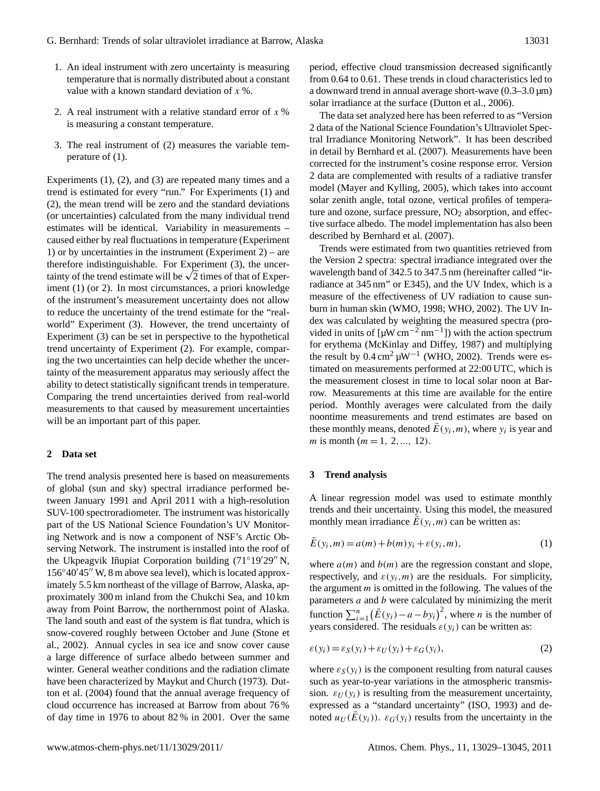- 1. An ideal instrument with zero uncertainty is measuring temperature that is normally distributed about a constant value with a known standard deviation of  $x$ %.
- 2. A real instrument with a relative standard error of  $x$  % is measuring a constant temperature.
- 3. The real instrument of (2) measures the variable temperature of (1).

Experiments (1), (2), and (3) are repeated many times and a trend is estimated for every "run." For Experiments (1) and (2), the mean trend will be zero and the standard deviations (or uncertainties) calculated from the many individual trend estimates will be identical. Variability in measurements – caused either by real fluctuations in temperature (Experiment 1) or by uncertainties in the instrument (Experiment 2) – are therefore indistinguishable. For Experiment (3), the uncertherefore indistinguishable. For Experiment (3), the uncertainty of the trend estimate will be  $\sqrt{2}$  times of that of Experiment (1) (or 2). In most circumstances, a priori knowledge of the instrument's measurement uncertainty does not allow to reduce the uncertainty of the trend estimate for the "realworld" Experiment (3). However, the trend uncertainty of Experiment (3) can be set in perspective to the hypothetical trend uncertainty of Experiment (2). For example, comparing the two uncertainties can help decide whether the uncertainty of the measurement apparatus may seriously affect the ability to detect statistically significant trends in temperature. Comparing the trend uncertainties derived from real-world measurements to that caused by measurement uncertainties will be an important part of this paper.

## **2 Data set**

The trend analysis presented here is based on measurements of global (sun and sky) spectral irradiance performed between January 1991 and April 2011 with a high-resolution SUV-100 spectroradiometer. The instrument was historically part of the US National Science Foundation's UV Monitoring Network and is now a component of NSF's Arctic Observing Network. The instrument is installed into the roof of the Ukpeagvik Iñupiat Corporation building (71°19'29" N,  $156°40'45''$  W, 8 m above sea level), which is located approximately 5.5 km northeast of the village of Barrow, Alaska, approximately 300 m inland from the Chukchi Sea, and 10 km away from Point Barrow, the northernmost point of Alaska. The land south and east of the system is flat tundra, which is snow-covered roughly between October and June (Stone et al., 2002). Annual cycles in sea ice and snow cover cause a large difference of surface albedo between summer and winter. General weather conditions and the radiation climate have been characterized by Maykut and Church (1973). Dutton et al. (2004) found that the annual average frequency of cloud occurrence has increased at Barrow from about 76 % of day time in 1976 to about 82 % in 2001. Over the same period, effective cloud transmission decreased significantly from 0.64 to 0.61. These trends in cloud characteristics led to a downward trend in annual average short-wave  $(0.3-3.0 \,\text{\mu m})$ solar irradiance at the surface (Dutton et al., 2006).

The data set analyzed here has been referred to as "Version 2 data of the National Science Foundation's Ultraviolet Spectral Irradiance Monitoring Network". It has been described in detail by Bernhard et al. (2007). Measurements have been corrected for the instrument's cosine response error. Version 2 data are complemented with results of a radiative transfer model (Mayer and Kylling, 2005), which takes into account solar zenith angle, total ozone, vertical profiles of temperature and ozone, surface pressure,  $NO<sub>2</sub>$  absorption, and effective surface albedo. The model implementation has also been described by Bernhard et al. (2007).

Trends were estimated from two quantities retrieved from the Version 2 spectra: spectral irradiance integrated over the wavelength band of 342.5 to 347.5 nm (hereinafter called "irradiance at 345 nm" or E345), and the UV Index, which is a measure of the effectiveness of UV radiation to cause sunburn in human skin (WMO, 1998; WHO, 2002). The UV Index was calculated by weighting the measured spectra (provided in units of  $[\mu W \text{ cm}^{-2} \text{ nm}^{-1}]$  with the action spectrum for erythema (McKinlay and Diffey, 1987) and multiplying the result by  $0.4 \text{ cm}^2 \mu \text{W}^{-1}$  (WHO, 2002). Trends were estimated on measurements performed at 22:00 UTC, which is the measurement closest in time to local solar noon at Barrow. Measurements at this time are available for the entire period. Monthly averages were calculated from the daily noontime measurements and trend estimates are based on these monthly means, denoted  $\bar{E}(y_i,m)$ , where  $y_i$  is year and m is month ( $m = 1, 2, ..., 12$ ).

#### **3 Trend analysis**

A linear regression model was used to estimate monthly trends and their uncertainty. Using this model, the measured monthly mean irradiance  $\overline{E}(y_i,m)$  can be written as:

$$
\bar{E}(y_i, m) = a(m) + b(m)y_i + \varepsilon(y_i, m),
$$
\n(1)

where  $a(m)$  and  $b(m)$  are the regression constant and slope, respectively, and  $\varepsilon(y_i,m)$  are the residuals. For simplicity, the argument  $m$  is omitted in the following. The values of the parameters  $a$  and  $b$  were calculated by minimizing the merit function  $\sum_{i=1}^{n} (\bar{E}(y_i) - a - by_i)^2$ , where *n* is the number of years considered. The residuals  $\varepsilon(y_i)$  can be written as:

$$
\varepsilon(y_i) = \varepsilon_S(y_i) + \varepsilon_U(y_i) + \varepsilon_G(y_i),\tag{2}
$$

where  $\varepsilon_{\mathcal{S}}(y_i)$  is the component resulting from natural causes such as year-to-year variations in the atmospheric transmission.  $\varepsilon_U(y_i)$  is resulting from the measurement uncertainty, expressed as a "standard uncertainty" (ISO, 1993) and denoted  $u_U(\overline{E}(y_i))$ .  $\varepsilon_G(y_i)$  results from the uncertainty in the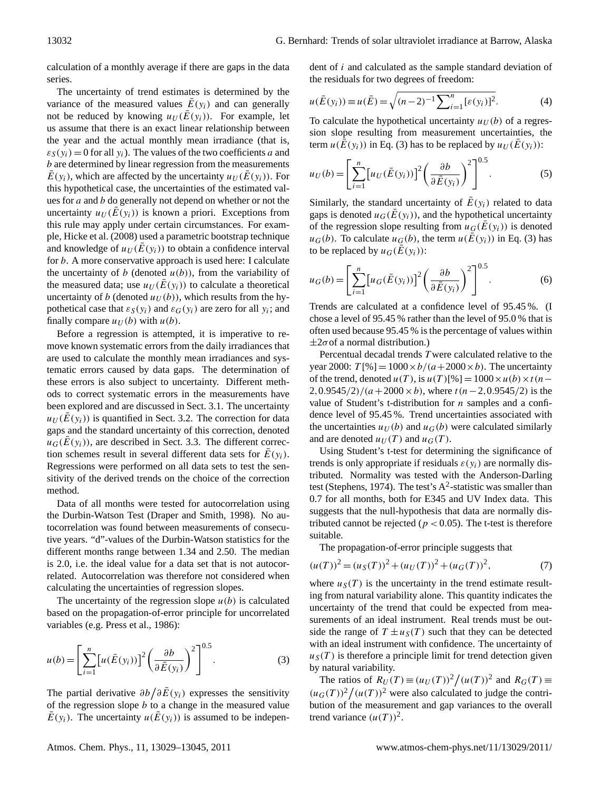calculation of a monthly average if there are gaps in the data series.

The uncertainty of trend estimates is determined by the variance of the measured values  $\overline{E}(y_i)$  and can generally not be reduced by knowing  $u_U(\overline{E}(y_i))$ . For example, let us assume that there is an exact linear relationship between the year and the actual monthly mean irradiance (that is,  $\varepsilon_{S}(y_i) = 0$  for all  $y_i$ ). The values of the two coefficients a and b are determined by linear regression from the measurements  $\overline{E}(y_i)$ , which are affected by the uncertainty  $u_U(\overline{E}(y_i))$ . For this hypothetical case, the uncertainties of the estimated values for  $a$  and  $b$  do generally not depend on whether or not the uncertainty  $u_U(\overline{E}(y_i))$  is known a priori. Exceptions from this rule may apply under certain circumstances. For example, Hicke et al. (2008) used a parametric bootstrap technique and knowledge of  $u_U(\overline{E}(y_i))$  to obtain a confidence interval for b. A more conservative approach is used here: I calculate the uncertainty of b (denoted  $u(b)$ ), from the variability of the measured data; use  $u_U(\overline{E}(y_i))$  to calculate a theoretical uncertainty of b (denoted  $u_U(b)$ ), which results from the hypothetical case that  $\varepsilon_S(y_i)$  and  $\varepsilon_G(y_i)$  are zero for all  $y_i$ ; and finally compare  $u_U(b)$  with  $u(b)$ .

Before a regression is attempted, it is imperative to remove known systematic errors from the daily irradiances that are used to calculate the monthly mean irradiances and systematic errors caused by data gaps. The determination of these errors is also subject to uncertainty. Different methods to correct systematic errors in the measurements have been explored and are discussed in Sect. 3.1. The uncertainty  $u_U(\bar{E}(y_i))$  is quantified in Sect. 3.2. The correction for data gaps and the standard uncertainty of this correction, denoted  $\mu_G(\bar{E}(y_i))$ , are described in Sect. 3.3. The different correction schemes result in several different data sets for  $\bar{E}(y_i)$ . Regressions were performed on all data sets to test the sensitivity of the derived trends on the choice of the correction method.

Data of all months were tested for autocorrelation using the Durbin-Watson Test (Draper and Smith, 1998). No autocorrelation was found between measurements of consecutive years. "d"-values of the Durbin-Watson statistics for the different months range between 1.34 and 2.50. The median is 2.0, i.e. the ideal value for a data set that is not autocorrelated. Autocorrelation was therefore not considered when calculating the uncertainties of regression slopes.

The uncertainty of the regression slope  $u(b)$  is calculated based on the propagation-of-error principle for uncorrelated variables (e.g. Press et al., 1986):

$$
u(b) = \left[\sum_{i=1}^{n} \left[u(\bar{E}(y_i))\right]^2 \left(\frac{\partial b}{\partial \bar{E}(y_i)}\right)^2\right]^{0.5}.
$$
 (3)

The partial derivative  $\partial b / \partial \bar{E}(y_i)$  expresses the sensitivity of the regression slope  $b$  to a change in the measured value  $\overline{E}(y_i)$ . The uncertainty  $u(\overline{E}(y_i))$  is assumed to be independent of i and calculated as the sample standard deviation of the residuals for two degrees of freedom:

$$
u(\bar{E}(y_i)) \equiv u(\bar{E}) = \sqrt{(n-2)^{-1} \sum_{i=1}^{n} [\varepsilon(y_i)]^2}.
$$
 (4)

To calculate the hypothetical uncertainty  $u_U(b)$  of a regression slope resulting from measurement uncertainties, the term  $u(\bar{\bar{E}}(y_i))$  in Eq. (3) has to be replaced by  $u_U(\bar{E}(y_i))$ :

$$
u_U(b) = \left[\sum_{i=1}^n \left[u_U(\bar{E}(y_i))\right]^2 \left(\frac{\partial b}{\partial \bar{E}(y_i)}\right)^2\right]^{0.5}.
$$
 (5)

Similarly, the standard uncertainty of  $\overline{E}(y_i)$  related to data gaps is denoted  $u_G(\bar{E}(y_i))$ , and the hypothetical uncertainty of the regression slope resulting from  $u_G(\bar{E}(y_i))$  is denoted  $u_G(b)$ . To calculate  $u_G(b)$ , the term  $u(\overline{\overline{E}}(y_i))$  in Eq. (3) has to be replaced by  $u_G(\overline{E}(y_i))$ :

$$
u_G(b) = \left[\sum_{i=1}^n \left[u_G(\bar{E}(y_i))\right]^2 \left(\frac{\partial b}{\partial \bar{E}(y_i)}\right)^2\right]^{0.5}.
$$
 (6)

Trends are calculated at a confidence level of 95.45 %. (I chose a level of 95.45 % rather than the level of 95.0 % that is often used because 95.45 % is the percentage of values within  $\pm 2\sigma$  of a normal distribution.)

Percentual decadal trends T were calculated relative to the year 2000:  $T[\%] = 1000 \times b/(a + 2000 \times b)$ . The uncertainty of the trend, denoted  $u(T)$ , is  $u(T)[%] = 1000 \times u(b) \times t(n 2,0.9545/2)/(a+2000\times b)$ , where  $t (n-2,0.9545/2)$  is the value of Student's t-distribution for  $n$  samples and a confidence level of 95.45 %. Trend uncertainties associated with the uncertainties  $u_U(b)$  and  $u_G(b)$  were calculated similarly and are denoted  $u_U(T)$  and  $u_G(T)$ .

Using Student's t-test for determining the significance of trends is only appropriate if residuals  $\varepsilon(y_i)$  are normally distributed. Normality was tested with the Anderson-Darling test (Stephens, 1974). The test's  $A^2$ -statistic was smaller than 0.7 for all months, both for E345 and UV Index data. This suggests that the null-hypothesis that data are normally distributed cannot be rejected ( $p < 0.05$ ). The t-test is therefore suitable.

The propagation-of-error principle suggests that

$$
(u(T))^{2} = (u_S(T))^{2} + (u_U(T))^{2} + (u_G(T))^{2},
$$
\n(7)

where  $u_S(T)$  is the uncertainty in the trend estimate resulting from natural variability alone. This quantity indicates the uncertainty of the trend that could be expected from measurements of an ideal instrument. Real trends must be outside the range of  $T \pm u_S(T)$  such that they can be detected with an ideal instrument with confidence. The uncertainty of  $u<sub>S</sub>(T)$  is therefore a principle limit for trend detection given by natural variability.

The ratios of  $R_U(T) \equiv (u_U(T))^2 / (u(T))^2$  and  $R_G(T) \equiv$  $(u_G(T))^2/(u(T))^2$  were also calculated to judge the contribution of the measurement and gap variances to the overall trend variance  $(u(T))^2$ .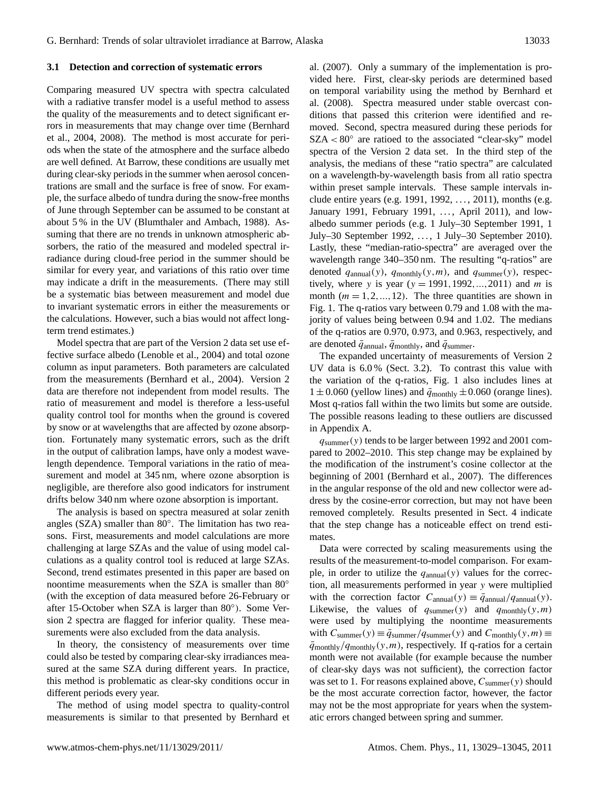#### **3.1 Detection and correction of systematic errors**

Comparing measured UV spectra with spectra calculated with a radiative transfer model is a useful method to assess the quality of the measurements and to detect significant errors in measurements that may change over time (Bernhard et al., 2004, 2008). The method is most accurate for periods when the state of the atmosphere and the surface albedo are well defined. At Barrow, these conditions are usually met during clear-sky periods in the summer when aerosol concentrations are small and the surface is free of snow. For example, the surface albedo of tundra during the snow-free months of June through September can be assumed to be constant at about 5 % in the UV (Blumthaler and Ambach, 1988). Assuming that there are no trends in unknown atmospheric absorbers, the ratio of the measured and modeled spectral irradiance during cloud-free period in the summer should be similar for every year, and variations of this ratio over time may indicate a drift in the measurements. (There may still be a systematic bias between measurement and model due to invariant systematic errors in either the measurements or the calculations. However, such a bias would not affect longterm trend estimates.)

Model spectra that are part of the Version 2 data set use effective surface albedo (Lenoble et al., 2004) and total ozone column as input parameters. Both parameters are calculated from the measurements (Bernhard et al., 2004). Version 2 data are therefore not independent from model results. The ratio of measurement and model is therefore a less-useful quality control tool for months when the ground is covered by snow or at wavelengths that are affected by ozone absorption. Fortunately many systematic errors, such as the drift in the output of calibration lamps, have only a modest wavelength dependence. Temporal variations in the ratio of measurement and model at 345 nm, where ozone absorption is negligible, are therefore also good indicators for instrument drifts below 340 nm where ozone absorption is important.

The analysis is based on spectra measured at solar zenith angles (SZA) smaller than 80◦ . The limitation has two reasons. First, measurements and model calculations are more challenging at large SZAs and the value of using model calculations as a quality control tool is reduced at large SZAs. Second, trend estimates presented in this paper are based on noontime measurements when the SZA is smaller than 80<sup>°</sup> (with the exception of data measured before 26-February or after 15-October when SZA is larger than 80◦ ). Some Version 2 spectra are flagged for inferior quality. These measurements were also excluded from the data analysis.

In theory, the consistency of measurements over time could also be tested by comparing clear-sky irradiances measured at the same SZA during different years. In practice, this method is problematic as clear-sky conditions occur in different periods every year.

The method of using model spectra to quality-control measurements is similar to that presented by Bernhard et al. (2007). Only a summary of the implementation is provided here. First, clear-sky periods are determined based on temporal variability using the method by Bernhard et al. (2008). Spectra measured under stable overcast conditions that passed this criterion were identified and removed. Second, spectra measured during these periods for SZA < 80◦ are ratioed to the associated "clear-sky" model spectra of the Version 2 data set. In the third step of the analysis, the medians of these "ratio spectra" are calculated on a wavelength-by-wavelength basis from all ratio spectra within preset sample intervals. These sample intervals include entire years (e.g. 1991, 1992, ..., 2011), months (e.g. January 1991, February 1991, ..., April 2011), and lowalbedo summer periods (e.g. 1 July–30 September 1991, 1 July–30 September 1992, . . . , 1 July–30 September 2010). Lastly, these "median-ratio-spectra" are averaged over the wavelength range 340–350 nm. The resulting "q-ratios" are denoted  $q_{\text{annual}}(y)$ ,  $q_{\text{monthly}}(y,m)$ , and  $q_{\text{summer}}(y)$ , respectively, where y is year  $(y = 1991, 1992, ..., 2011)$  and m is month  $(m = 1, 2, ..., 12)$ . The three quantities are shown in Fig. 1. The q-ratios vary between 0.79 and 1.08 with the majority of values being between 0.94 and 1.02. The medians of the q-ratios are 0.970, 0.973, and 0.963, respectively, and are denoted  $\bar{q}_{annual}$ ,  $\bar{q}_{monthly}$ , and  $\bar{q}_{summer}$ .

The expanded uncertainty of measurements of Version 2 UV data is 6.0 % (Sect. 3.2). To contrast this value with the variation of the q-ratios, Fig. 1 also includes lines at  $1 \pm 0.060$  (yellow lines) and  $\bar{q}_{\text{monthly}} \pm 0.060$  (orange lines). Most q-ratios fall within the two limits but some are outside. The possible reasons leading to these outliers are discussed in Appendix A.

 $q_{\text{summer}}(y)$  tends to be larger between 1992 and 2001 compared to 2002–2010. This step change may be explained by the modification of the instrument's cosine collector at the beginning of 2001 (Bernhard et al., 2007). The differences in the angular response of the old and new collector were address by the cosine-error correction, but may not have been removed completely. Results presented in Sect. 4 indicate that the step change has a noticeable effect on trend estimates.

Data were corrected by scaling measurements using the results of the measurement-to-model comparison. For example, in order to utilize the  $q_{\text{annual}}(y)$  values for the correction, all measurements performed in year y were multiplied with the correction factor  $C_{\text{annual}}(y) \equiv \bar{q}_{\text{annual}}/q_{\text{annual}}(y)$ . Likewise, the values of  $q_{\text{summer}}(y)$  and  $q_{\text{monthly}}(y,m)$ were used by multiplying the noontime measurements with  $C_{\text{summer}}(y) \equiv \bar{q}_{\text{summer}}/q_{\text{summer}}(y)$  and  $C_{\text{monthly}}(y,m) \equiv$  $\bar{q}_{\text{monthly}}/q_{\text{monthly}}(y,m)$ , respectively. If q-ratios for a certain month were not available (for example because the number of clear-sky days was not sufficient), the correction factor was set to 1. For reasons explained above,  $C_{\text{summer}}(y)$  should be the most accurate correction factor, however, the factor may not be the most appropriate for years when the systematic errors changed between spring and summer.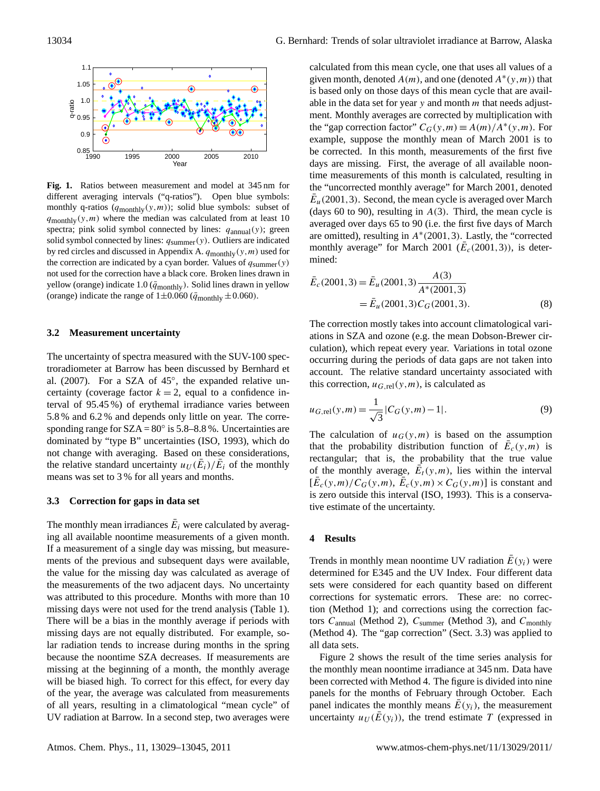

**Fig. 1.** Ratios between measurement and model at 345 nm for different averaging intervals ("q-ratios"). Open blue symbols: monthly q-ratios  $(q_{\text{monthlv}}(y,m))$ ; solid blue symbols: subset of  $q$ <sub>monthly</sub>(y,*m*) where the median was calculated from at least 10 spectra; pink solid symbol connected by lines:  $q_{\text{annual}}(y)$ ; green solid symbol connected by lines:  $q_{\text{summer}}(y)$ . Outliers are indicated by red circles and discussed in Appendix A.  $q_{\text{monthly}}(y,m)$  used for the correction are indicated by a cyan border. Values of  $q_{\text{summer}}(y)$ not used for the correction have a black core. Broken lines drawn in yellow (orange) indicate 1.0 ( $\bar{q}_{\text{monthly}}$ ). Solid lines drawn in yellow (orange) indicate the range of  $1\pm 0.060$  ( $\bar{q}_{\text{monthlv}} \pm 0.060$ ).

### **3.2 Measurement uncertainty**

The uncertainty of spectra measured with the SUV-100 spectroradiometer at Barrow has been discussed by Bernhard et al. (2007). For a SZA of 45°, the expanded relative uncertainty (coverage factor  $k = 2$ , equal to a confidence interval of 95.45 %) of erythemal irradiance varies between 5.8 % and 6.2 % and depends only little on year. The corresponding range for  $SZA = 80^\circ$  is 5.8–8.8%. Uncertainties are dominated by "type B" uncertainties (ISO, 1993), which do not change with averaging. Based on these considerations, the relative standard uncertainty  $u_U(\bar{E}_i)/\bar{E}_i$  of the monthly means was set to 3 % for all years and months.

#### **3.3 Correction for gaps in data set**

The monthly mean irradiances  $\bar{E}_i$  were calculated by averaging all available noontime measurements of a given month. If a measurement of a single day was missing, but measurements of the previous and subsequent days were available, the value for the missing day was calculated as average of the measurements of the two adjacent days. No uncertainty was attributed to this procedure. Months with more than 10 missing days were not used for the trend analysis (Table 1). There will be a bias in the monthly average if periods with missing days are not equally distributed. For example, solar radiation tends to increase during months in the spring because the noontime SZA decreases. If measurements are missing at the beginning of a month, the monthly average will be biased high. To correct for this effect, for every day of the year, the average was calculated from measurements of all years, resulting in a climatological "mean cycle" of UV radiation at Barrow. In a second step, two averages were calculated from this mean cycle, one that uses all values of a given month, denoted  $A(m)$ , and one (denoted  $A^*(y,m)$ ) that is based only on those days of this mean cycle that are available in the data set for year  $y$  and month  $m$  that needs adjustment. Monthly averages are corrected by multiplication with the "gap correction factor"  $C_G(y,m) \equiv A(m)/A^*(y,m)$ . For example, suppose the monthly mean of March 2001 is to be corrected. In this month, measurements of the first five days are missing. First, the average of all available noontime measurements of this month is calculated, resulting in the "uncorrected monthly average" for March 2001, denoted  $\bar{E}_u$ (2001, 3). Second, the mean cycle is averaged over March (days 60 to 90), resulting in  $A(3)$ . Third, the mean cycle is averaged over days 65 to 90 (i.e. the first five days of March are omitted), resulting in A<sup>∗</sup> (2001,3). Lastly, the "corrected monthly average" for March 2001 ( $\overline{E}_c(2001,3)$ ), is determined:

$$
\begin{aligned} \bar{E}_c(2001,3) &= \bar{E}_u(2001,3) \frac{A(3)}{A^*(2001,3)} \\ &= \bar{E}_u(2001,3) C_G(2001,3). \end{aligned} \tag{8}
$$

The correction mostly takes into account climatological variations in SZA and ozone (e.g. the mean Dobson-Brewer circulation), which repeat every year. Variations in total ozone occurring during the periods of data gaps are not taken into account. The relative standard uncertainty associated with this correction,  $u_{G,\text{rel}}(y,m)$ , is calculated as

$$
u_{G,\text{rel}}(y,m) = \frac{1}{\sqrt{3}} |C_G(y,m) - 1|.
$$
 (9)

The calculation of  $u_G(y,m)$  is based on the assumption that the probability distribution function of  $\bar{E}_c(y,m)$  is rectangular; that is, the probability that the true value of the monthly average,  $\overline{\hat{E}_t}(y,m)$ , lies within the interval  $[\bar{E}_c(y,m)/C_G(y,m), \bar{E}_c(y,m) \times C_G(y,m)]$  is constant and is zero outside this interval (ISO, 1993). This is a conservative estimate of the uncertainty.

#### **4 Results**

Trends in monthly mean noontime UV radiation  $\bar{E}(y_i)$  were determined for E345 and the UV Index. Four different data sets were considered for each quantity based on different corrections for systematic errors. These are: no correction (Method 1); and corrections using the correction factors  $C_{annual}$  (Method 2),  $C_{summer}$  (Method 3), and  $C_{monthlv}$ (Method 4). The "gap correction" (Sect. 3.3) was applied to all data sets.

Figure 2 shows the result of the time series analysis for the monthly mean noontime irradiance at 345 nm. Data have been corrected with Method 4. The figure is divided into nine panels for the months of February through October. Each panel indicates the monthly means  $E(y_i)$ , the measurement uncertainty  $u_U(\overline{E}(y_i))$ , the trend estimate T (expressed in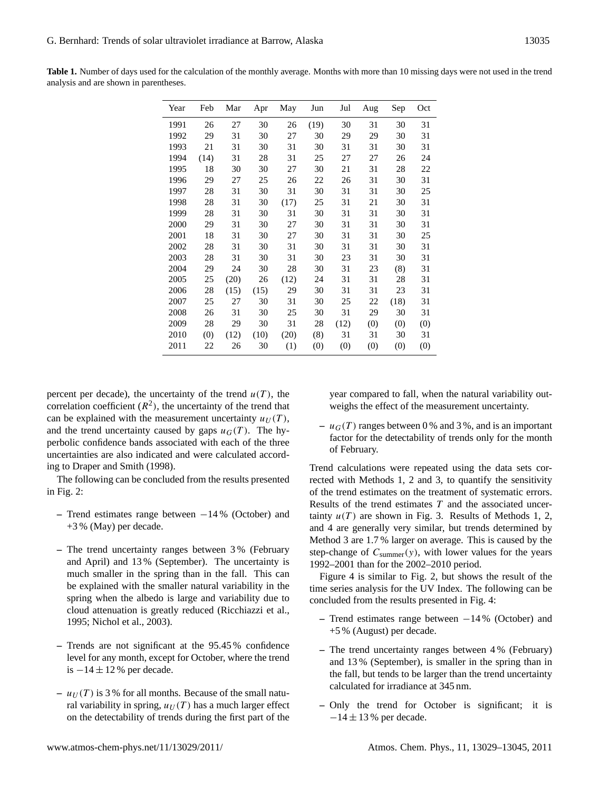| Table 1. Number of days used for the calculation of the monthly average. Months with more than 10 missing days were not used in the trend |  |  |
|-------------------------------------------------------------------------------------------------------------------------------------------|--|--|
| analysis and are shown in parentheses.                                                                                                    |  |  |

| Year | Feb  | Mar  | Apr  | May  | Jun  | Jul  | Aug | Sep  | Oct |
|------|------|------|------|------|------|------|-----|------|-----|
| 1991 | 26   | 27   | 30   | 26   | (19) | 30   | 31  | 30   | 31  |
| 1992 | 29   | 31   | 30   | 27   | 30   | 29   | 29  | 30   | 31  |
| 1993 | 21   | 31   | 30   | 31   | 30   | 31   | 31  | 30   | 31  |
| 1994 | (14) | 31   | 28   | 31   | 25   | 27   | 27  | 26   | 24  |
| 1995 | 18   | 30   | 30   | 27   | 30   | 21   | 31  | 28   | 22  |
| 1996 | 29   | 27   | 25   | 26   | 22   | 26   | 31  | 30   | 31  |
| 1997 | 28   | 31   | 30   | 31   | 30   | 31   | 31  | 30   | 25  |
| 1998 | 28   | 31   | 30   | (17) | 25   | 31   | 21  | 30   | 31  |
| 1999 | 28   | 31   | 30   | 31   | 30   | 31   | 31  | 30   | 31  |
| 2000 | 29   | 31   | 30   | 27   | 30   | 31   | 31  | 30   | 31  |
| 2001 | 18   | 31   | 30   | 27   | 30   | 31   | 31  | 30   | 25  |
| 2002 | 28   | 31   | 30   | 31   | 30   | 31   | 31  | 30   | 31  |
| 2003 | 28   | 31   | 30   | 31   | 30   | 23   | 31  | 30   | 31  |
| 2004 | 29   | 24   | 30   | 28   | 30   | 31   | 23  | (8)  | 31  |
| 2005 | 25   | (20) | 26   | (12) | 24   | 31   | 31  | 28   | 31  |
| 2006 | 28   | (15) | (15) | 29   | 30   | 31   | 31  | 23   | 31  |
| 2007 | 25   | 27   | 30   | 31   | 30   | 25   | 22  | (18) | 31  |
| 2008 | 26   | 31   | 30   | 25   | 30   | 31   | 29  | 30   | 31  |
| 2009 | 28   | 29   | 30   | 31   | 28   | (12) | (0) | (0)  | (0) |
| 2010 | (0)  | (12) | (10) | (20) | (8)  | 31   | 31  | 30   | 31  |
| 2011 | 22   | 26   | 30   | (1)  | (0)  | (0)  | (0) | (0)  | (0) |
|      |      |      |      |      |      |      |     |      |     |

percent per decade), the uncertainty of the trend  $u(T)$ , the correlation coefficient  $(R^2)$ , the uncertainty of the trend that can be explained with the measurement uncertainty  $u_U(T)$ , and the trend uncertainty caused by gaps  $u_G(T)$ . The hyperbolic confidence bands associated with each of the three uncertainties are also indicated and were calculated according to Draper and Smith (1998).

The following can be concluded from the results presented in Fig. 2:

- **–** Trend estimates range between −14 % (October) and +3 % (May) per decade.
- **–** The trend uncertainty ranges between 3 % (February and April) and 13 % (September). The uncertainty is much smaller in the spring than in the fall. This can be explained with the smaller natural variability in the spring when the albedo is large and variability due to cloud attenuation is greatly reduced (Ricchiazzi et al., 1995; Nichol et al., 2003).
- **–** Trends are not significant at the 95.45 % confidence level for any month, except for October, where the trend is  $-14 \pm 12$  % per decade.
- $u_U(T)$  is 3% for all months. Because of the small natural variability in spring,  $u_U(T)$  has a much larger effect on the detectability of trends during the first part of the

year compared to fall, when the natural variability outweighs the effect of the measurement uncertainty.

 $- u_G(T)$  ranges between 0% and 3%, and is an important factor for the detectability of trends only for the month of February.

Trend calculations were repeated using the data sets corrected with Methods 1, 2 and 3, to quantify the sensitivity of the trend estimates on the treatment of systematic errors. Results of the trend estimates  $T$  and the associated uncertainty  $u(T)$  are shown in Fig. 3. Results of Methods 1, 2, and 4 are generally very similar, but trends determined by Method 3 are 1.7 % larger on average. This is caused by the step-change of  $C_{\text{summer}}(y)$ , with lower values for the years 1992–2001 than for the 2002–2010 period.

Figure 4 is similar to Fig. 2, but shows the result of the time series analysis for the UV Index. The following can be concluded from the results presented in Fig. 4:

- **–** Trend estimates range between −14 % (October) and +5 % (August) per decade.
- **–** The trend uncertainty ranges between 4 % (February) and 13 % (September), is smaller in the spring than in the fall, but tends to be larger than the trend uncertainty calculated for irradiance at 345 nm.
- **–** Only the trend for October is significant; it is  $-14 \pm 13$  % per decade.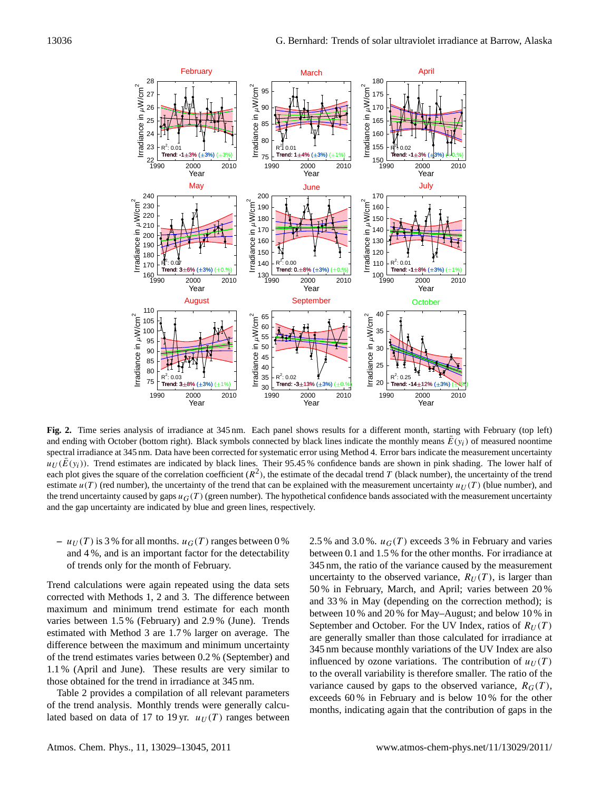

**Fig. 2.** Time series analysis of irradiance at 345 nm. Each panel shows results for a different month, starting with February (top left) and ending with October (bottom right). Black symbols connected by black lines indicate the monthly means  $\bar{E}(y_i)$  of measured noontime spectral irradiance at 345 nm. Data have been corrected for systematic error using Method 4. Error bars indicate the measurement uncertainty  $u_U(\bar{E}(y_i))$ . Trend estimates are indicated by black lines. Their 95.45 % confidence bands are shown in pink shading. The lower half of each plot gives the square of the correlation coefficient  $(R^2)$ , the estimate of the decadal trend T (black number), the uncertainty of the trend estimate  $u(T)$  (red number), the uncertainty of the trend that can be explained with the measurement uncertainty  $u_U(T)$  (blue number), and the trend uncertainty caused by gaps  $u<sub>G</sub>(T)$  (green number). The hypothetical confidence bands associated with the measurement uncertainty and the gap uncertainty are indicated by blue and green lines, respectively.

 $- u_U(T)$  is 3 % for all months.  $u_G(T)$  ranges between 0 % and 4 %, and is an important factor for the detectability of trends only for the month of February.

Trend calculations were again repeated using the data sets corrected with Methods 1, 2 and 3. The difference between maximum and minimum trend estimate for each month varies between 1.5 % (February) and 2.9 % (June). Trends estimated with Method 3 are 1.7 % larger on average. The difference between the maximum and minimum uncertainty of the trend estimates varies between 0.2 % (September) and 1.1 % (April and June). These results are very similar to those obtained for the trend in irradiance at 345 nm.

Table 2 provides a compilation of all relevant parameters of the trend analysis. Monthly trends were generally calculated based on data of 17 to 19 yr.  $u_U(T)$  ranges between 2.5 % and 3.0 %.  $u_G(T)$  exceeds 3 % in February and varies between 0.1 and 1.5 % for the other months. For irradiance at 345 nm, the ratio of the variance caused by the measurement uncertainty to the observed variance,  $R_U(T)$ , is larger than 50 % in February, March, and April; varies between 20 % and 33 % in May (depending on the correction method); is between 10 % and 20 % for May–August; and below 10 % in September and October. For the UV Index, ratios of  $R_U(T)$ are generally smaller than those calculated for irradiance at 345 nm because monthly variations of the UV Index are also influenced by ozone variations. The contribution of  $u_U(T)$ to the overall variability is therefore smaller. The ratio of the variance caused by gaps to the observed variance,  $R_G(T)$ , exceeds 60 % in February and is below 10 % for the other months, indicating again that the contribution of gaps in the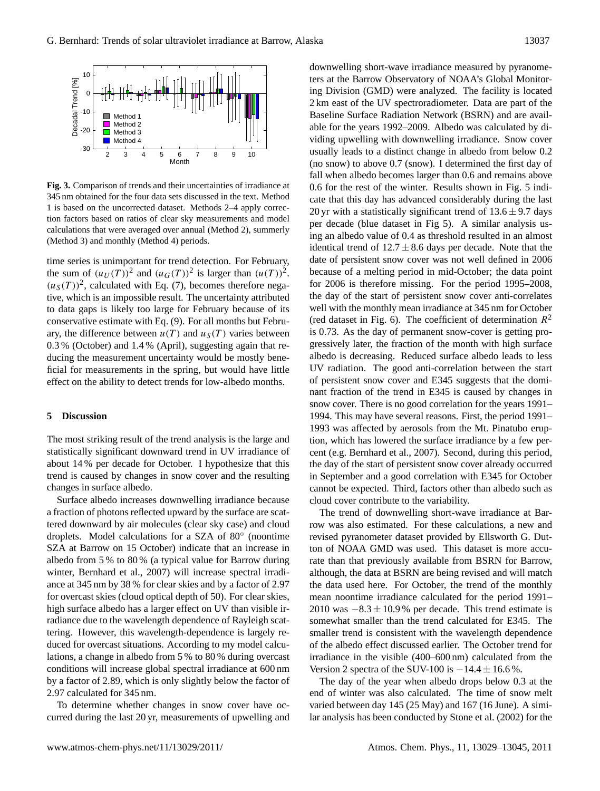

**Fig. 3.** Comparison of trends and their uncertainties of irradiance at 345 nm obtained for the four data sets discussed in the text. Method 1 is based on the uncorrected dataset. Methods 2–4 apply correction factors based on ratios of clear sky measurements and model calculations that were averaged over annual (Method 2), summerly (Method 3) and monthly (Method 4) periods.

time series is unimportant for trend detection. For February, the sum of  $(u_U(T))^2$  and  $(u_G(T))^2$  is larger than  $(u(T))^2$ .  $(u<sub>S</sub>(T))<sup>2</sup>$ , calculated with Eq. (7), becomes therefore negative, which is an impossible result. The uncertainty attributed to data gaps is likely too large for February because of its conservative estimate with Eq. (9). For all months but February, the difference between  $u(T)$  and  $u_S(T)$  varies between 0.3 % (October) and 1.4 % (April), suggesting again that reducing the measurement uncertainty would be mostly beneficial for measurements in the spring, but would have little effect on the ability to detect trends for low-albedo months.

#### **5 Discussion**

The most striking result of the trend analysis is the large and statistically significant downward trend in UV irradiance of about 14 % per decade for October. I hypothesize that this trend is caused by changes in snow cover and the resulting changes in surface albedo.

Surface albedo increases downwelling irradiance because a fraction of photons reflected upward by the surface are scattered downward by air molecules (clear sky case) and cloud droplets. Model calculations for a SZA of 80◦ (noontime SZA at Barrow on 15 October) indicate that an increase in albedo from 5 % to 80 % (a typical value for Barrow during winter, Bernhard et al., 2007) will increase spectral irradiance at 345 nm by 38 % for clear skies and by a factor of 2.97 for overcast skies (cloud optical depth of 50). For clear skies, high surface albedo has a larger effect on UV than visible irradiance due to the wavelength dependence of Rayleigh scattering. However, this wavelength-dependence is largely reduced for overcast situations. According to my model calculations, a change in albedo from 5 % to 80 % during overcast conditions will increase global spectral irradiance at 600 nm by a factor of 2.89, which is only slightly below the factor of 2.97 calculated for 345 nm.

To determine whether changes in snow cover have occurred during the last 20 yr, measurements of upwelling and downwelling short-wave irradiance measured by pyranometers at the Barrow Observatory of NOAA's Global Monitoring Division (GMD) were analyzed. The facility is located 2 km east of the UV spectroradiometer. Data are part of the Baseline Surface Radiation Network (BSRN) and are available for the years 1992–2009. Albedo was calculated by dividing upwelling with downwelling irradiance. Snow cover usually leads to a distinct change in albedo from below 0.2 (no snow) to above 0.7 (snow). I determined the first day of fall when albedo becomes larger than 0.6 and remains above 0.6 for the rest of the winter. Results shown in Fig. 5 indicate that this day has advanced considerably during the last 20 yr with a statistically significant trend of  $13.6 \pm 9.7$  days per decade (blue dataset in Fig 5). A similar analysis using an albedo value of 0.4 as threshold resulted in an almost identical trend of  $12.7 \pm 8.6$  days per decade. Note that the date of persistent snow cover was not well defined in 2006 because of a melting period in mid-October; the data point for 2006 is therefore missing. For the period 1995–2008, the day of the start of persistent snow cover anti-correlates well with the monthly mean irradiance at 345 nm for October (red dataset in Fig. 6). The coefficient of determination  $R^2$ is 0.73. As the day of permanent snow-cover is getting progressively later, the fraction of the month with high surface albedo is decreasing. Reduced surface albedo leads to less UV radiation. The good anti-correlation between the start of persistent snow cover and E345 suggests that the dominant fraction of the trend in E345 is caused by changes in snow cover. There is no good correlation for the years 1991– 1994. This may have several reasons. First, the period 1991– 1993 was affected by aerosols from the Mt. Pinatubo eruption, which has lowered the surface irradiance by a few percent (e.g. Bernhard et al., 2007). Second, during this period, the day of the start of persistent snow cover already occurred in September and a good correlation with E345 for October cannot be expected. Third, factors other than albedo such as cloud cover contribute to the variability.

The trend of downwelling short-wave irradiance at Barrow was also estimated. For these calculations, a new and revised pyranometer dataset provided by Ellsworth G. Dutton of NOAA GMD was used. This dataset is more accurate than that previously available from BSRN for Barrow, although, the data at BSRN are being revised and will match the data used here. For October, the trend of the monthly mean noontime irradiance calculated for the period 1991– 2010 was  $-8.3 \pm 10.9$ % per decade. This trend estimate is somewhat smaller than the trend calculated for E345. The smaller trend is consistent with the wavelength dependence of the albedo effect discussed earlier. The October trend for irradiance in the visible (400–600 nm) calculated from the Version 2 spectra of the SUV-100 is  $-14.4 \pm 16.6$  %.

The day of the year when albedo drops below 0.3 at the end of winter was also calculated. The time of snow melt varied between day 145 (25 May) and 167 (16 June). A similar analysis has been conducted by Stone et al. (2002) for the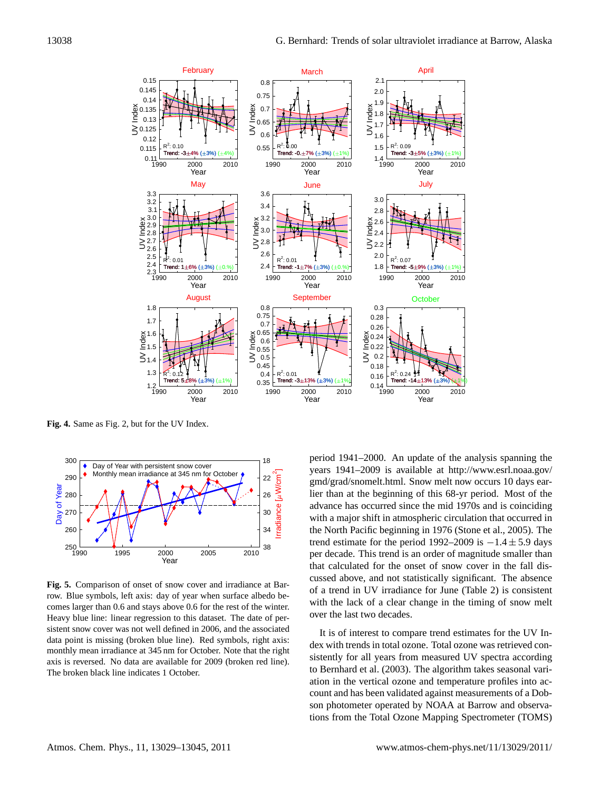

**Fig. 4.** Same as Fig. 2, but for the UV Index.



**Fig. 5.** Comparison of onset of snow cover and irradiance at Barrow. Blue symbols, left axis: day of year when surface albedo becomes larger than 0.6 and stays above 0.6 for the rest of the winter. Heavy blue line: linear regression to this dataset. The date of persistent snow cover was not well defined in 2006, and the associated data point is missing (broken blue line). Red symbols, right axis: monthly mean irradiance at 345 nm for October. Note that the right axis is reversed. No data are available for 2009 (broken red line). The broken black line indicates 1 October.

period 1941–2000. An update of the analysis spanning the years 1941–2009 is available at [http://www.esrl.noaa.gov/](http://www.esrl.noaa.gov/gmd/grad/snomelt.html) [gmd/grad/snomelt.html.](http://www.esrl.noaa.gov/gmd/grad/snomelt.html) Snow melt now occurs 10 days earlier than at the beginning of this 68-yr period. Most of the advance has occurred since the mid 1970s and is coinciding with a major shift in atmospheric circulation that occurred in the North Pacific beginning in 1976 (Stone et al., 2005). The trend estimate for the period 1992–2009 is  $-1.4 \pm 5.9$  days per decade. This trend is an order of magnitude smaller than that calculated for the onset of snow cover in the fall discussed above, and not statistically significant. The absence of a trend in UV irradiance for June (Table 2) is consistent with the lack of a clear change in the timing of snow melt over the last two decades.

It is of interest to compare trend estimates for the UV Index with trends in total ozone. Total ozone was retrieved consistently for all years from measured UV spectra according to Bernhard et al. (2003). The algorithm takes seasonal variation in the vertical ozone and temperature profiles into account and has been validated against measurements of a Dobson photometer operated by NOAA at Barrow and observations from the Total Ozone Mapping Spectrometer (TOMS)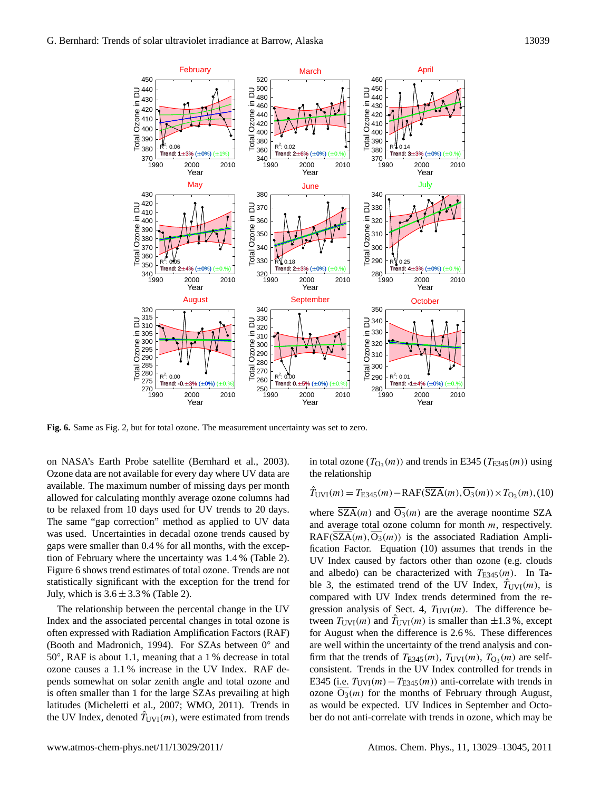

**Fig. 6.** Same as Fig. 2, but for total ozone. The measurement uncertainty was set to zero.

on NASA's Earth Probe satellite (Bernhard et al., 2003). Ozone data are not available for every day where UV data are available. The maximum number of missing days per month allowed for calculating monthly average ozone columns had to be relaxed from 10 days used for UV trends to 20 days. The same "gap correction" method as applied to UV data was used. Uncertainties in decadal ozone trends caused by gaps were smaller than 0.4 % for all months, with the exception of February where the uncertainty was 1.4 % (Table 2). Figure 6 shows trend estimates of total ozone. Trends are not statistically significant with the exception for the trend for July, which is  $3.6 \pm 3.3$  % (Table 2).

The relationship between the percental change in the UV Index and the associated percental changes in total ozone is often expressed with Radiation Amplification Factors (RAF) (Booth and Madronich, 1994). For SZAs between 0◦ and 50°, RAF is about 1.1, meaning that a 1 % decrease in total ozone causes a 1.1 % increase in the UV Index. RAF depends somewhat on solar zenith angle and total ozone and is often smaller than 1 for the large SZAs prevailing at high latitudes (Micheletti et al., 2007; WMO, 2011). Trends in the UV Index, denoted  $T_{UVI}(m)$ , were estimated from trends

in total ozone  $(T<sub>O3</sub>(m))$  and trends in E345 ( $T<sub>E345</sub>(m)$ ) using the relationship

$$
\hat{T}_{\text{UVI}}(m) = T_{\text{E345}}(m) - \text{RAF}(\overline{\text{SZA}}(m), \overline{\text{O}_3}(m)) \times T_{\text{O}_3}(m), (10)
$$

where  $\overline{SZA}(m)$  and  $\overline{O_3}(m)$  are the average noontime SZA and average total ozone column for month  $m$ , respectively.  $RAF(SZA(m),O<sub>3</sub>(m))$  is the associated Radiation Amplification Factor. Equation (10) assumes that trends in the UV Index caused by factors other than ozone (e.g. clouds and albedo) can be characterized with  $T_{E345}(m)$ . In Table 3, the estimated trend of the UV Index,  $T_{UVI}(m)$ , is compared with UV Index trends determined from the regression analysis of Sect. 4,  $T_{UVI}(m)$ . The difference between  $T_{\text{UVI}}(m)$  and  $\hat{T}_{\text{UVI}}(m)$  is smaller than  $\pm 1.3$ %, except for August when the difference is 2.6 %. These differences are well within the uncertainty of the trend analysis and confirm that the trends of  $T_{E345}(m)$ ,  $T_{UVI}(m)$ ,  $T_{O_3}(m)$  are selfconsistent. Trends in the UV Index controlled for trends in E345 (i.e.  $T_{UVI}(m) - T_{E345}(m)$ ) anti-correlate with trends in ozone  $\overline{O_3}(m)$  for the months of February through August, as would be expected. UV Indices in September and October do not anti-correlate with trends in ozone, which may be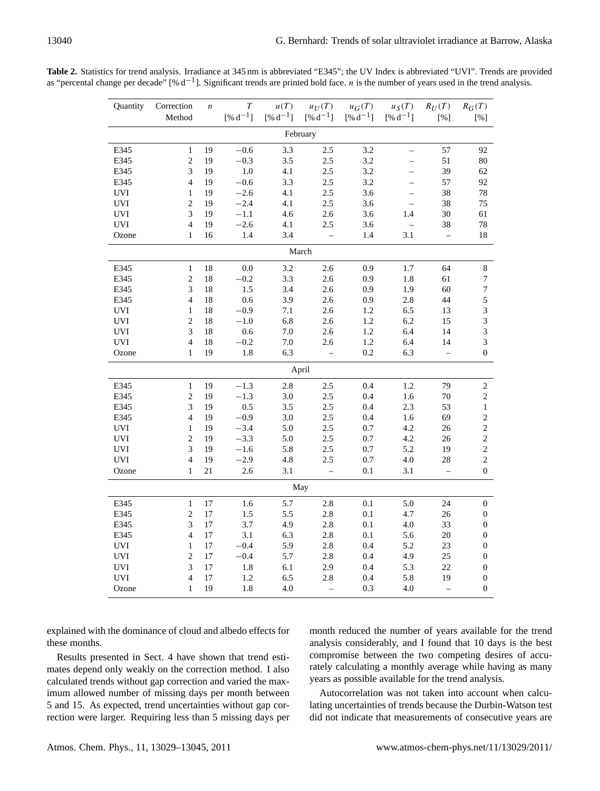| Quantity   | Correction     | $\boldsymbol{n}$ | T                 | u(T)         | $u_U(T)$          | $u_G(T)$     | $u_S(T)$                 | $R_U(T)$                 | $R_G(T)$         |
|------------|----------------|------------------|-------------------|--------------|-------------------|--------------|--------------------------|--------------------------|------------------|
|            | Method         |                  | $[ \% \ d^{-1} ]$ | $[% d^{-1}]$ | $[% d^{-1}]$      | $[% d^{-1}]$ | $[% d^{-1}]$             | [%]                      | [%]              |
| February   |                |                  |                   |              |                   |              |                          |                          |                  |
| E345       | $\mathbf{1}$   | 19               | $-0.6$            | 3.3          | 2.5               | 3.2          |                          | 57                       | 92               |
| E345       | $\overline{c}$ | 19               | $-0.3$            | 3.5          | 2.5               | 3.2          | $\equiv$                 | 51                       | 80               |
| E345       | 3              | 19               | $1.0\,$           | 4.1          | 2.5               | 3.2          |                          | 39                       | 62               |
| E345       | $\overline{4}$ | 19               | $-0.6$            | 3.3          | 2.5               | 3.2          | $\equiv$                 | 57                       | 92               |
| UVI        | $\mathbf{1}$   | 19               | $-2.6$            | 4.1          | 2.5               | 3.6          | $\overline{\phantom{0}}$ | 38                       | $78\,$           |
| <b>UVI</b> | $\overline{2}$ | 19               | $-2.4$            | 4.1          | 2.5               | 3.6          |                          | 38                       | 75               |
| UVI        | $\overline{3}$ | 19               | $-1.1$            | 4.6          | 2.6               | 3.6          | 1.4                      | $30\,$                   | 61               |
| UVI        | $\overline{4}$ | 19               | $-2.6$            | 4.1          | 2.5               | 3.6          | $\overline{\phantom{0}}$ | 38                       | $78\,$           |
| Ozone      | $\mathbf{1}$   | 16               | 1.4               | 3.4          | $\equiv$          | $1.4\,$      | 3.1                      | $\equiv$                 | $18\,$           |
|            |                |                  |                   |              | March             |              |                          |                          |                  |
| E345       | $\mathbf{1}$   | $18\,$           | $0.0\,$           | 3.2          | 2.6               | 0.9          | $1.7\,$                  | 64                       | $\,8\,$          |
| E345       | $\overline{c}$ | 18               | $-0.2$            | 3.3          | 2.6               | $0.9\,$      | 1.8                      | 61                       | 7                |
| E345       | 3              | 18               | $1.5\,$           | 3.4          | 2.6               | 0.9          | 1.9                      | 60                       | $\boldsymbol{7}$ |
| E345       | $\overline{4}$ | 18               | 0.6               | 3.9          | 2.6               | 0.9          | 2.8                      | 44                       | $\mathfrak s$    |
| UVI        | $\mathbf{1}$   | $18\,$           | $-0.9$            | 7.1          | 2.6               | 1.2          | 6.5                      | 13                       | $\sqrt{3}$       |
| <b>UVI</b> | $\overline{2}$ | 18               | $-1.0$            | 6.8          | 2.6               | 1.2          | 6.2                      | 15                       | $\mathfrak{Z}$   |
| UVI        | 3              | 18               | $0.6\,$           | $7.0\,$      | 2.6               | 1.2          | 6.4                      | 14                       | $\mathfrak{Z}$   |
| <b>UVI</b> | $\overline{4}$ | 18               | $-0.2$            | $7.0\,$      | 2.6               | $1.2\,$      | 6.4                      | 14                       | 3                |
| Ozone      | 1              | 19               | 1.8               | 6.3          | $\equiv$          | $0.2\,$      | 6.3                      | $\equiv$                 | $\boldsymbol{0}$ |
| April      |                |                  |                   |              |                   |              |                          |                          |                  |
| E345       | $\mathbf{1}$   | 19               | $-1.3$            | 2.8          | 2.5               | 0.4          | 1.2                      | 79                       | $\sqrt{2}$       |
| E345       | $\overline{c}$ | 19               | $-1.3$            | 3.0          | 2.5               | 0.4          | 1.6                      | 70                       | $\sqrt{2}$       |
| E345       | 3              | 19               | $0.5\,$           | 3.5          | 2.5               | 0.4          | 2.3                      | 53                       | $\,1\,$          |
| E345       | $\overline{4}$ | 19               | $-0.9$            | 3.0          | 2.5               | 0.4          | 1.6                      | 69                       | $\sqrt{2}$       |
| <b>UVI</b> | $\mathbf{1}$   | 19               | $-3.4$            | 5.0          | 2.5               | 0.7          | 4.2                      | 26                       | $\sqrt{2}$       |
| <b>UVI</b> | $\overline{c}$ | 19               | $-3.3$            | 5.0          | 2.5               | 0.7          | 4.2                      | 26                       | $\sqrt{2}$       |
| <b>UVI</b> | 3              | 19               | $-1.6$            | 5.8          | 2.5               | 0.7          | 5.2                      | 19                       | $\sqrt{2}$       |
| <b>UVI</b> | 4              | 19               | $-2.9$            | 4.8          | 2.5               | $0.7\,$      | $4.0$                    | $28\,$                   | $\sqrt{2}$       |
| Ozone      | $\mathbf{1}$   | 21               | 2.6               | 3.1          | $\qquad \qquad -$ | 0.1          | 3.1                      | $\overline{\phantom{a}}$ | $\boldsymbol{0}$ |
|            |                |                  |                   |              | May               |              |                          |                          |                  |
| E345       | $\mathbf{1}$   | $17\,$           | $1.6\,$           | 5.7          | 2.8               | $0.1\,$      | 5.0                      | $24\,$                   | $\boldsymbol{0}$ |
| E345       | $\overline{c}$ | 17               | $1.5\,$           | 5.5          | 2.8               | 0.1          | 4.7                      | 26                       | $\boldsymbol{0}$ |
| E345       | 3              | $17\,$           | 3.7               | 4.9          | 2.8               | 0.1          | $4.0\,$                  | 33                       | $\boldsymbol{0}$ |
| E345       | $\overline{4}$ | $17\,$           | 3.1               | 6.3          | 2.8               | 0.1          | 5.6                      | $20\,$                   | $\boldsymbol{0}$ |
| <b>UVI</b> | $\mathbf{1}$   | 17               | $-0.4$            | 5.9          | 2.8               | 0.4          | 5.2                      | 23                       | $\boldsymbol{0}$ |
| UVI        | $\overline{c}$ | $17\,$           | $-0.4$            | 5.7          | $2.8\,$           | 0.4          | 4.9                      | 25                       | $\boldsymbol{0}$ |
| <b>UVI</b> | $\overline{3}$ | 17               | 1.8               | 6.1          | 2.9               | 0.4          | 5.3                      | 22                       | $\boldsymbol{0}$ |
| UVI        | $\overline{4}$ | 17               | $1.2\,$           | 6.5          | 2.8               | 0.4          | 5.8                      | 19                       | $\boldsymbol{0}$ |
| Ozone      | $\mathbf{1}$   | 19               | 1.8               | 4.0          | $\qquad \qquad -$ | 0.3          | $4.0$                    | $\qquad \qquad -$        | $\boldsymbol{0}$ |

**Table 2.** Statistics for trend analysis. Irradiance at 345 nm is abbreviated "E345"; the UV Index is abbreviated "UVI". Trends are provided as "percental change per decade" [% d<sup>-1</sup>]. Significant trends are printed bold face. *n* is the number of years used in the trend analysis.

explained with the dominance of cloud and albedo effects for these months.

Results presented in Sect. 4 have shown that trend estimates depend only weakly on the correction method. I also calculated trends without gap correction and varied the maximum allowed number of missing days per month between 5 and 15. As expected, trend uncertainties without gap correction were larger. Requiring less than 5 missing days per month reduced the number of years available for the trend analysis considerably, and I found that 10 days is the best compromise between the two competing desires of accurately calculating a monthly average while having as many years as possible available for the trend analysis.

Autocorrelation was not taken into account when calculating uncertainties of trends because the Durbin-Watson test did not indicate that measurements of consecutive years are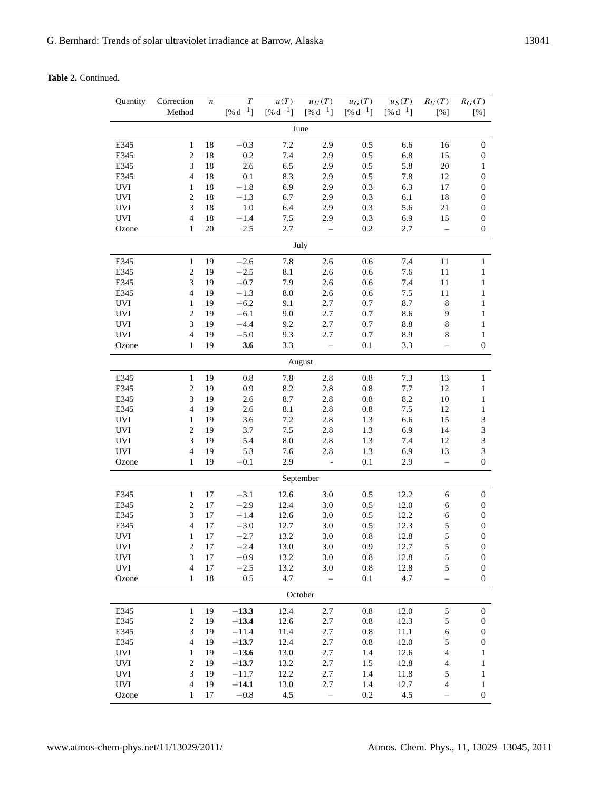**Table 2.** Continued.

| Quantity | Correction<br>Method | $\boldsymbol{n}$ | T<br>$[% d^{-1}]$ | u(T)<br>$[% d^{-1}]$ | $u_U(T)$<br>$[% d^{-1}]$ | $u_G(T)$<br>$[% d^{-1}]$ | $u_S(T)$<br>$[% d^{-1}]$ | $R_U(T)$<br>[%]          | $R_G(T)$<br>[%]  |
|----------|----------------------|------------------|-------------------|----------------------|--------------------------|--------------------------|--------------------------|--------------------------|------------------|
|          |                      |                  |                   |                      | June                     |                          |                          |                          |                  |
| E345     | $\mathbf{1}$         | 18               | $-0.3$            | 7.2                  | 2.9                      | 0.5                      | 6.6                      | 16                       | $\boldsymbol{0}$ |
| E345     | $\sqrt{2}$           | 18               | 0.2               | 7.4                  | 2.9                      | 0.5                      | 6.8                      | 15                       | $\boldsymbol{0}$ |
| E345     | 3                    | 18               | 2.6               | 6.5                  | 2.9                      | 0.5                      | 5.8                      | $20\,$                   | 1                |
| E345     | $\overline{4}$       | 18               | 0.1               | 8.3                  | 2.9                      | 0.5                      | 7.8                      | 12                       | $\boldsymbol{0}$ |
| UVI      | $\mathbf{1}$         | 18               | $-1.8$            | 6.9                  | 2.9                      | 0.3                      | 6.3                      | 17                       | $\boldsymbol{0}$ |
| UVI      | $\overline{c}$       | 18               | $-1.3$            | 6.7                  | 2.9                      | 0.3                      | 6.1                      | 18                       | 0                |
| UVI      | 3                    | 18               | $1.0\,$           | 6.4                  | 2.9                      | 0.3                      | 5.6                      | 21                       | $\boldsymbol{0}$ |
| UVI      | $\overline{4}$       | 18               | $-1.4$            | 7.5                  | 2.9                      | 0.3                      | 6.9                      | 15                       | $\boldsymbol{0}$ |
| Ozone    | $\mathbf{1}$         | 20               | 2.5               | 2.7                  | $\qquad \qquad -$        | 0.2                      | 2.7                      | $\overline{\phantom{0}}$ | $\boldsymbol{0}$ |
|          |                      |                  |                   |                      | July                     |                          |                          |                          |                  |
| E345     | $\mathbf{1}$         | 19               | $-2.6$            | 7.8                  | 2.6                      | 0.6                      | 7.4                      | 11                       | $\mathbf{1}$     |
| E345     | $\overline{c}$       | 19               | $-2.5$            | 8.1                  | 2.6                      | 0.6                      | 7.6                      | 11                       | $\mathbf{1}$     |
| E345     | 3                    | 19               | $-0.7$            | 7.9                  | 2.6                      | 0.6                      | 7.4                      | 11                       | 1                |
| E345     | 4                    | 19               | $-1.3$            | 8.0                  | 2.6                      | 0.6                      | 7.5                      | 11                       | $\mathbf{1}$     |
| UVI      | $\mathbf{1}$         | 19               | $-6.2$            | 9.1                  | 2.7                      | 0.7                      | 8.7                      | $\,8\,$                  | $\mathbf{1}$     |
| UVI      | $\overline{c}$       | 19               | $-6.1$            | 9.0                  | 2.7                      | 0.7                      | 8.6                      | 9                        | $\mathbf{1}$     |
| UVI      | 3                    | 19               | $-4.4$            | 9.2                  | 2.7                      | 0.7                      | 8.8                      | 8                        | 1                |
| UVI      | $\overline{4}$       | 19               | $-5.0$            | 9.3                  | 2.7                      | 0.7                      | 8.9                      | 8                        | $\mathbf{1}$     |
| Ozone    | $\mathbf{1}$         | 19               | 3.6               | 3.3                  |                          | 0.1                      | 3.3                      | $\equiv$                 | $\boldsymbol{0}$ |
|          |                      |                  |                   |                      | August                   |                          |                          |                          |                  |
| E345     | $\mathbf{1}$         | 19               | 0.8               | 7.8                  | 2.8                      | $0.8\,$                  | 7.3                      | 13                       | $\mathbf{1}$     |
| E345     | $\overline{c}$       | 19               | 0.9               | 8.2                  | 2.8                      | $0.8\,$                  | 7.7                      | 12                       | $\mathbf{1}$     |
| E345     | 3                    | 19               | 2.6               | 8.7                  | 2.8                      | $\rm 0.8$                | 8.2                      | 10                       | $\mathbf{1}$     |
| E345     | $\overline{4}$       | 19               | 2.6               | 8.1                  | 2.8                      | 0.8                      | 7.5                      | 12                       | $\mathbf{1}$     |
| UVI      | $\mathbf{1}$         | 19               | 3.6               | 7.2                  | 2.8                      | 1.3                      | 6.6                      | 15                       | $\mathfrak{Z}$   |
| UVI      | $\overline{c}$       | 19               | 3.7               | 7.5                  | 2.8                      | 1.3                      | 6.9                      | 14                       | $\mathfrak{Z}$   |
| UVI      | 3                    | 19               | 5.4               | 8.0                  | 2.8                      | 1.3                      | 7.4                      | 12                       | $\mathfrak{Z}$   |
| UVI      | $\overline{4}$       | 19               | 5.3               | 7.6                  | 2.8                      | 1.3                      | 6.9                      | 13                       | $\mathfrak{Z}$   |
| Ozone    | $\mathbf{1}$         | 19               | $-0.1$            | 2.9                  | $\bar{\phantom{a}}$      | 0.1                      | 2.9                      | $\overline{\phantom{0}}$ | $\boldsymbol{0}$ |
|          |                      |                  |                   |                      | September                |                          |                          |                          |                  |
| E345     | $\mathbf{1}$         | 17               | $-3.1$            | 12.6                 | 3.0                      | 0.5                      | 12.2                     | 6                        | $\boldsymbol{0}$ |
| E345     | $\mathfrak{2}$       | 17               | $-2.9$            | 12.4                 | 3.0                      | 0.5                      | 12.0                     | 6                        | $\boldsymbol{0}$ |
| E345     | 3                    | 17               | $-1.4$            | 12.6                 | 3.0                      | 0.5                      | 12.2                     | 6                        | $\boldsymbol{0}$ |
| E345     | 4                    | 17               | $-3.0$            | 12.7                 | 3.0                      | 0.5                      | 12.3                     | $\mathfrak s$            | $\boldsymbol{0}$ |
| UVI      | 1                    | 17               | $-2.7$            | 13.2                 | 3.0                      | 0.8                      | 12.8                     | 5                        | $\boldsymbol{0}$ |
| U V I    | 2                    | 17               | $-2.4$            | 13.0                 | 3.0                      | 0.9                      | 12.7                     | $\mathcal{L}$            | $\bf{0}$         |
| UVI      | 3                    | 17               | $-0.9$            | 13.2                 | 3.0                      | 0.8                      | 12.8                     | 5                        | $\boldsymbol{0}$ |
| UVI      | $\overline{4}$       | 17               | $-2.5$            | 13.2                 | 3.0                      | $\rm 0.8$                | 12.8                     | 5                        | $\boldsymbol{0}$ |
| Ozone    | $\mathbf{1}$         | 18               | 0.5               | 4.7                  |                          | 0.1                      | 4.7                      | $\overline{\phantom{0}}$ | $\boldsymbol{0}$ |
|          |                      |                  |                   |                      | October                  |                          |                          |                          |                  |
| E345     | $\mathbf{1}$         | 19               | $-13.3$           | 12.4                 | $2.7\,$                  | $0.8\,$                  | 12.0                     | $\sqrt{5}$               | $\boldsymbol{0}$ |
| E345     | $\sqrt{2}$           | 19               | $-13.4$           | 12.6                 | 2.7                      | $0.8\,$                  | 12.3                     | $\sqrt{5}$               | $\boldsymbol{0}$ |
| E345     | 3                    | 19               | $-11.4$           | 11.4                 | 2.7                      | $0.8\,$                  | 11.1                     | 6                        | $\boldsymbol{0}$ |
| E345     | $\overline{4}$       | 19               | $-13.7$           | 12.4                 | 2.7                      | $0.8\,$                  | 12.0                     | $\sqrt{5}$               | $\boldsymbol{0}$ |
| UVI      | $\mathbf{1}$         | 19               | $-13.6$           | 13.0                 | 2.7                      | 1.4                      | 12.6                     | $\overline{4}$           | $\mathbf{1}$     |
| UVI      | $\overline{c}$       | 19               | $-13.7$           | 13.2                 | 2.7                      | 1.5                      | 12.8                     | $\overline{4}$           | 1                |
| UVI      | 3                    | 19               | $-11.7$           | 12.2                 | 2.7                      | 1.4                      | 11.8                     | $\mathfrak s$            | 1                |
| UVI      | $\overline{4}$       | 19               | $-14.1$           | 13.0                 | 2.7                      | 1.4                      | 12.7                     | $\overline{\mathcal{A}}$ | $\mathbf{1}$     |
| Ozone    | $\mathbf{1}$         | 17               | $-0.8$            | 4.5                  | $\overline{a}$           | 0.2                      | 4.5                      | $\equiv$                 | $\boldsymbol{0}$ |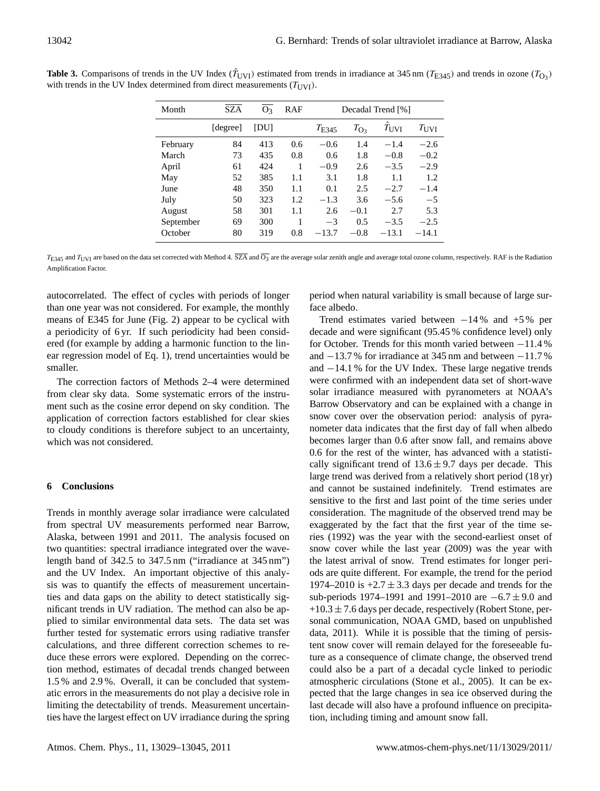| Month     | <b>SZA</b> | O <sub>3</sub> | RAF | Decadal Trend [%] |               |                     |               |
|-----------|------------|----------------|-----|-------------------|---------------|---------------------|---------------|
|           | [degree]   | <b>DUI</b>     |     | $T_{\rm E345}$    | $T_{\rm O_3}$ | $\hat{T}_{\rm UVI}$ | $T_{\rm UVI}$ |
| February  | 84         | 413            | 0.6 | $-0.6$            | 1.4           | $-1.4$              | $-2.6$        |
| March     | 73         | 435            | 0.8 | 0.6               | 1.8           | $-0.8$              | $-0.2$        |
| April     | 61         | 424            | 1   | $-0.9$            | 2.6           | $-3.5$              | $-2.9$        |
| May       | 52         | 385            | 1.1 | 3.1               | 1.8           | 1.1                 | 1.2           |
| June      | 48         | 350            | 1.1 | 0.1               | 2.5           | $-2.7$              | $-1.4$        |
| July      | 50         | 323            | 1.2 | $-1.3$            | 3.6           | $-5.6$              | $-5$          |
| August    | 58         | 301            | 1.1 | 2.6               | $-0.1$        | 2.7                 | 5.3           |
| September | 69         | 300            |     | $-3$              | 0.5           | $-3.5$              | $-2.5$        |
| October   | 80         | 319            | 0.8 | $-13.7$           | $-0.8$        | $-13.1$             | $-14.1$       |

**Table 3.** Comparisons of trends in the UV Index  $(\hat{T}_{UVI})$  estimated from trends in irradiance at 345 nm ( $T_{E345}$ ) and trends in ozone ( $T_{O3}$ ) with trends in the UV Index determined from direct measurements  $(T<sub>IVV</sub>)$ .

 $T_{\rm E345}$  and  $T_{\rm UVI}$  are based on the data set corrected with Method 4. SZA and O<sub>3</sub> are the average solar zenith angle and average total ozone column, respectively. RAF is the Radiation Amplification Factor.

autocorrelated. The effect of cycles with periods of longer than one year was not considered. For example, the monthly means of E345 for June (Fig. 2) appear to be cyclical with a periodicity of 6 yr. If such periodicity had been considered (for example by adding a harmonic function to the linear regression model of Eq. 1), trend uncertainties would be smaller.

The correction factors of Methods 2–4 were determined from clear sky data. Some systematic errors of the instrument such as the cosine error depend on sky condition. The application of correction factors established for clear skies to cloudy conditions is therefore subject to an uncertainty, which was not considered.

# **6 Conclusions**

Trends in monthly average solar irradiance were calculated from spectral UV measurements performed near Barrow, Alaska, between 1991 and 2011. The analysis focused on two quantities: spectral irradiance integrated over the wavelength band of 342.5 to 347.5 nm ("irradiance at 345 nm") and the UV Index. An important objective of this analysis was to quantify the effects of measurement uncertainties and data gaps on the ability to detect statistically significant trends in UV radiation. The method can also be applied to similar environmental data sets. The data set was further tested for systematic errors using radiative transfer calculations, and three different correction schemes to reduce these errors were explored. Depending on the correction method, estimates of decadal trends changed between 1.5 % and 2.9 %. Overall, it can be concluded that systematic errors in the measurements do not play a decisive role in limiting the detectability of trends. Measurement uncertainties have the largest effect on UV irradiance during the spring period when natural variability is small because of large surface albedo.

Trend estimates varied between  $-14\%$  and  $+5\%$  per decade and were significant (95.45 % confidence level) only for October. Trends for this month varied between −11.4 % and −13.7 % for irradiance at 345 nm and between −11.7 % and −14.1 % for the UV Index. These large negative trends were confirmed with an independent data set of short-wave solar irradiance measured with pyranometers at NOAA's Barrow Observatory and can be explained with a change in snow cover over the observation period: analysis of pyranometer data indicates that the first day of fall when albedo becomes larger than 0.6 after snow fall, and remains above 0.6 for the rest of the winter, has advanced with a statistically significant trend of  $13.6 \pm 9.7$  days per decade. This large trend was derived from a relatively short period (18 yr) and cannot be sustained indefinitely. Trend estimates are sensitive to the first and last point of the time series under consideration. The magnitude of the observed trend may be exaggerated by the fact that the first year of the time series (1992) was the year with the second-earliest onset of snow cover while the last year (2009) was the year with the latest arrival of snow. Trend estimates for longer periods are quite different. For example, the trend for the period 1974–2010 is  $+2.7 \pm 3.3$  days per decade and trends for the sub-periods 1974–1991 and 1991–2010 are −6.7 ± 9.0 and  $+10.3 \pm 7.6$  days per decade, respectively (Robert Stone, personal communication, NOAA GMD, based on unpublished data, 2011). While it is possible that the timing of persistent snow cover will remain delayed for the foreseeable future as a consequence of climate change, the observed trend could also be a part of a decadal cycle linked to periodic atmospheric circulations (Stone et al., 2005). It can be expected that the large changes in sea ice observed during the last decade will also have a profound influence on precipitation, including timing and amount snow fall.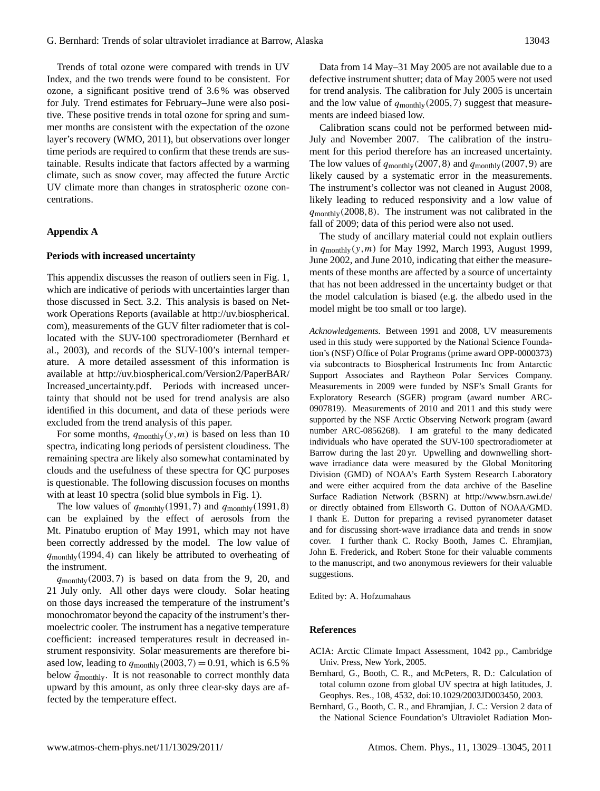Trends of total ozone were compared with trends in UV Index, and the two trends were found to be consistent. For ozone, a significant positive trend of 3.6 % was observed for July. Trend estimates for February–June were also positive. These positive trends in total ozone for spring and summer months are consistent with the expectation of the ozone layer's recovery (WMO, 2011), but observations over longer time periods are required to confirm that these trends are sustainable. Results indicate that factors affected by a warming climate, such as snow cover, may affected the future Arctic UV climate more than changes in stratospheric ozone concentrations.

#### **Appendix A**

#### **Periods with increased uncertainty**

This appendix discusses the reason of outliers seen in Fig. 1, which are indicative of periods with uncertainties larger than those discussed in Sect. 3.2. This analysis is based on Network Operations Reports (available at [http://uv.biospherical.](http://uv.biospherical.com) [com\)](http://uv.biospherical.com), measurements of the GUV filter radiometer that is collocated with the SUV-100 spectroradiometer (Bernhard et al., 2003), and records of the SUV-100's internal temperature. A more detailed assessment of this information is available at [http://uv.biospherical.com/Version2/PaperBAR/](http://uv.biospherical.com/Version2/PaperBAR/Increased_uncertainty.pdf) Increased [uncertainty.pdf.](http://uv.biospherical.com/Version2/PaperBAR/Increased_uncertainty.pdf) Periods with increased uncertainty that should not be used for trend analysis are also identified in this document, and data of these periods were excluded from the trend analysis of this paper.

For some months,  $q_{\text{monthlv}}(y,m)$  is based on less than 10 spectra, indicating long periods of persistent cloudiness. The remaining spectra are likely also somewhat contaminated by clouds and the usefulness of these spectra for QC purposes is questionable. The following discussion focuses on months with at least 10 spectra (solid blue symbols in Fig. 1).

The low values of  $q_{\text{monthly}}(1991,7)$  and  $q_{\text{monthly}}(1991,8)$ can be explained by the effect of aerosols from the Mt. Pinatubo eruption of May 1991, which may not have been correctly addressed by the model. The low value of  $q_{\text{monthly}}(1994, 4)$  can likely be attributed to overheating of the instrument.

 $q_{\text{monthly}}(2003, 7)$  is based on data from the 9, 20, and 21 July only. All other days were cloudy. Solar heating on those days increased the temperature of the instrument's monochromator beyond the capacity of the instrument's thermoelectric cooler. The instrument has a negative temperature coefficient: increased temperatures result in decreased instrument responsivity. Solar measurements are therefore biased low, leading to  $q_{\text{monthlv}}(2003, 7) = 0.91$ , which is 6.5 % below  $\bar{q}_{\text{monthly}}$ . It is not reasonable to correct monthly data upward by this amount, as only three clear-sky days are affected by the temperature effect.

Data from 14 May–31 May 2005 are not available due to a defective instrument shutter; data of May 2005 were not used for trend analysis. The calibration for July 2005 is uncertain and the low value of  $q_{\text{monthlv}}(2005, 7)$  suggest that measurements are indeed biased low.

Calibration scans could not be performed between mid-July and November 2007. The calibration of the instrument for this period therefore has an increased uncertainty. The low values of  $q_{\text{monthly}}(2007,8)$  and  $q_{\text{monthly}}(2007,9)$  are likely caused by a systematic error in the measurements. The instrument's collector was not cleaned in August 2008, likely leading to reduced responsivity and a low value of  $q_{\text{monthlv}}(2008,8)$ . The instrument was not calibrated in the fall of 2009; data of this period were also not used.

The study of ancillary material could not explain outliers in  $q_{\text{monthlv}}(y,m)$  for May 1992, March 1993, August 1999, June 2002, and June 2010, indicating that either the measurements of these months are affected by a source of uncertainty that has not been addressed in the uncertainty budget or that the model calculation is biased (e.g. the albedo used in the model might be too small or too large).

*Acknowledgements.* Between 1991 and 2008, UV measurements used in this study were supported by the National Science Foundation's (NSF) Office of Polar Programs (prime award OPP-0000373) via subcontracts to Biospherical Instruments Inc from Antarctic Support Associates and Raytheon Polar Services Company. Measurements in 2009 were funded by NSF's Small Grants for Exploratory Research (SGER) program (award number ARC-0907819). Measurements of 2010 and 2011 and this study were supported by the NSF Arctic Observing Network program (award number ARC-0856268). I am grateful to the many dedicated individuals who have operated the SUV-100 spectroradiometer at Barrow during the last 20 yr. Upwelling and downwelling shortwave irradiance data were measured by the Global Monitoring Division (GMD) of NOAA's Earth System Research Laboratory and were either acquired from the data archive of the Baseline Surface Radiation Network (BSRN) at <http://www.bsrn.awi.de/> or directly obtained from Ellsworth G. Dutton of NOAA/GMD. I thank E. Dutton for preparing a revised pyranometer dataset and for discussing short-wave irradiance data and trends in snow cover. I further thank C. Rocky Booth, James C. Ehramjian, John E. Frederick, and Robert Stone for their valuable comments to the manuscript, and two anonymous reviewers for their valuable suggestions.

Edited by: A. Hofzumahaus

## **References**

- ACIA: Arctic Climate Impact Assessment, 1042 pp., Cambridge Univ. Press, New York, 2005.
- Bernhard, G., Booth, C. R., and McPeters, R. D.: Calculation of total column ozone from global UV spectra at high latitudes, J. Geophys. Res., 108, 4532, [doi:10.1029/2003JD003450,](http://dx.doi.org/10.1029/2003JD003450) 2003.
- Bernhard, G., Booth, C. R., and Ehramjian, J. C.: Version 2 data of the National Science Foundation's Ultraviolet Radiation Mon-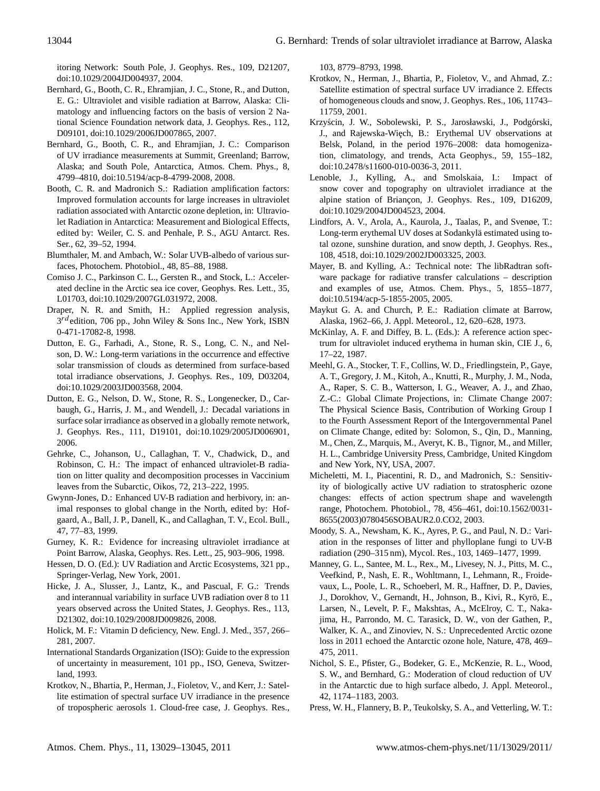itoring Network: South Pole, J. Geophys. Res., 109, D21207, [doi:10.1029/2004JD004937,](http://dx.doi.org/10.1029/2004JD004937) 2004.

- Bernhard, G., Booth, C. R., Ehramjian, J. C., Stone, R., and Dutton, E. G.: Ultraviolet and visible radiation at Barrow, Alaska: Climatology and influencing factors on the basis of version 2 National Science Foundation network data, J. Geophys. Res., 112, D09101, [doi:10.1029/2006JD007865,](http://dx.doi.org/10.1029/2006JD007865) 2007.
- Bernhard, G., Booth, C. R., and Ehramjian, J. C.: Comparison of UV irradiance measurements at Summit, Greenland; Barrow, Alaska; and South Pole, Antarctica, Atmos. Chem. Phys., 8, 4799–4810, [doi:10.5194/acp-8-4799-2008,](http://dx.doi.org/10.5194/acp-8-4799-2008) 2008.
- Booth, C. R. and Madronich S.: Radiation amplification factors: Improved formulation accounts for large increases in ultraviolet radiation associated with Antarctic ozone depletion, in: Ultraviolet Radiation in Antarctica: Measurement and Biological Effects, edited by: Weiler, C. S. and Penhale, P. S., AGU Antarct. Res. Ser., 62, 39–52, 1994.
- Blumthaler, M. and Ambach, W.: Solar UVB-albedo of various surfaces, Photochem. Photobiol., 48, 85–88, 1988.
- Comiso J. C., Parkinson C. L., Gersten R., and Stock, L.: Accelerated decline in the Arctic sea ice cover, Geophys. Res. Lett., 35, L01703, [doi:10.1029/2007GL031972,](http://dx.doi.org/10.1029/2007GL031972) 2008.
- Draper, N. R. and Smith, H.: Applied regression analysis, 3<sup>rd</sup>edition, 706 pp., John Wiley & Sons Inc., New York, ISBN 0-471-17082-8, 1998.
- Dutton, E. G., Farhadi, A., Stone, R. S., Long, C. N., and Nelson, D. W.: Long-term variations in the occurrence and effective solar transmission of clouds as determined from surface-based total irradiance observations, J. Geophys. Res., 109, D03204, [doi:10.1029/2003JD003568,](http://dx.doi.org/10.1029/2003JD003568) 2004.
- Dutton, E. G., Nelson, D. W., Stone, R. S., Longenecker, D., Carbaugh, G., Harris, J. M., and Wendell, J.: Decadal variations in surface solar irradiance as observed in a globally remote network, J. Geophys. Res., 111, D19101, [doi:10.1029/2005JD006901,](http://dx.doi.org/10.1029/2005JD006901) 2006.
- Gehrke, C., Johanson, U., Callaghan, T. V., Chadwick, D., and Robinson, C. H.: The impact of enhanced ultraviolet-B radiation on litter quality and decomposition processes in Vaccinium leaves from the Subarctic, Oikos, 72, 213–222, 1995.
- Gwynn-Jones, D.: Enhanced UV-B radiation and herbivory, in: animal responses to global change in the North, edited by: Hofgaard, A., Ball, J. P., Danell, K., and Callaghan, T. V., Ecol. Bull., 47, 77–83, 1999.
- Gurney, K. R.: Evidence for increasing ultraviolet irradiance at Point Barrow, Alaska, Geophys. Res. Lett., 25, 903–906, 1998.
- Hessen, D. O. (Ed.): UV Radiation and Arctic Ecosystems, 321 pp., Springer-Verlag, New York, 2001.
- Hicke, J. A., Slusser, J., Lantz, K., and Pascual, F. G.: Trends and interannual variability in surface UVB radiation over 8 to 11 years observed across the United States, J. Geophys. Res., 113, D21302, [doi:10.1029/2008JD009826,](http://dx.doi.org/10.1029/2008JD009826) 2008.
- Holick, M. F.: Vitamin D deficiency, New. Engl. J. Med., 357, 266– 281, 2007.
- International Standards Organization (ISO): Guide to the expression of uncertainty in measurement, 101 pp., ISO, Geneva, Switzerland, 1993.
- Krotkov, N., Bhartia, P., Herman, J., Fioletov, V., and Kerr, J.: Satellite estimation of spectral surface UV irradiance in the presence of tropospheric aerosols 1. Cloud-free case, J. Geophys. Res.,

103, 8779–8793, 1998.

- Krotkov, N., Herman, J., Bhartia, P., Fioletov, V., and Ahmad, Z.: Satellite estimation of spectral surface UV irradiance 2. Effects of homogeneous clouds and snow, J. Geophys. Res., 106, 11743– 11759, 2001.
- Krzyścin, J. W., Sobolewski, P. S., Jarosławski, J., Podgórski, J., and Rajewska-Więch, B.: Erythemal UV observations at Belsk, Poland, in the period 1976–2008: data homogenization, climatology, and trends, Acta Geophys., 59, 155–182, [doi:10.2478/s11600-010-0036-3,](http://dx.doi.org/10.2478/s11600-010-0036-3) 2011.
- Lenoble, J., Kylling, A., and Smolskaia, I.: Impact of snow cover and topography on ultraviolet irradiance at the alpine station of Briançon, J. Geophys. Res., 109, D16209, [doi:10.1029/2004JD004523,](http://dx.doi.org/10.1029/2004JD004523) 2004.
- Lindfors, A. V., Arola, A., Kaurola, J., Taalas, P., and Svenøe, T.: Long-term erythemal UV doses at Sodankylä estimated using total ozone, sunshine duration, and snow depth, J. Geophys. Res., 108, 4518, [doi:10.1029/2002JD003325,](http://dx.doi.org/10.1029/2002JD003325) 2003.
- Mayer, B. and Kylling, A.: Technical note: The libRadtran software package for radiative transfer calculations – description and examples of use, Atmos. Chem. Phys., 5, 1855–1877, [doi:10.5194/acp-5-1855-2005,](http://dx.doi.org/10.5194/acp-5-1855-2005) 2005.
- Maykut G. A. and Church, P. E.: Radiation climate at Barrow, Alaska, 1962–66, J. Appl. Meteorol., 12, 620–628, 1973.
- McKinlay, A. F. and Diffey, B. L. (Eds.): A reference action spectrum for ultraviolet induced erythema in human skin, CIE J., 6, 17–22, 1987.
- Meehl, G. A., Stocker, T. F., Collins, W. D., Friedlingstein, P., Gaye, A. T., Gregory, J. M., Kitoh, A., Knutti, R., Murphy, J. M., Noda, A., Raper, S. C. B., Watterson, I. G., Weaver, A. J., and Zhao, Z.-C.: Global Climate Projections, in: Climate Change 2007: The Physical Science Basis, Contribution of Working Group I to the Fourth Assessment Report of the Intergovernmental Panel on Climate Change, edited by: Solomon, S., Qin, D., Manning, M., Chen, Z., Marquis, M., Averyt, K. B., Tignor, M., and Miller, H. L., Cambridge University Press, Cambridge, United Kingdom and New York, NY, USA, 2007.
- Micheletti, M. I., Piacentini, R. D., and Madronich, S.: Sensitivity of biologically active UV radiation to stratospheric ozone changes: effects of action spectrum shape and wavelength range, Photochem. Photobiol., 78, 456–461, [doi:10.1562/0031-](http://dx.doi.org/10.1562/0031-8655(2003)0780456SOBAUR2.0.CO2) [8655\(2003\)0780456SOBAUR2.0.CO2,](http://dx.doi.org/10.1562/0031-8655(2003)0780456SOBAUR2.0.CO2) 2003.
- Moody, S. A., Newsham, K. K., Ayres, P. G., and Paul, N. D.: Variation in the responses of litter and phylloplane fungi to UV-B radiation (290–315 nm), Mycol. Res., 103, 1469–1477, 1999.
- Manney, G. L., Santee, M. L., Rex., M., Livesey, N. J., Pitts, M. C., Veefkind, P., Nash, E. R., Wohltmann, I., Lehmann, R., Froidevaux, L., Poole, L. R., Schoeberl, M. R., Haffner, D. P., Davies, J., Dorokhov, V., Gernandt, H., Johnson, B., Kivi, R., Kyrö, E., Larsen, N., Levelt, P. F., Makshtas, A., McElroy, C. T., Nakajima, H., Parrondo, M. C. Tarasick, D. W., von der Gathen, P., Walker, K. A., and Zinoviev, N. S.: Unprecedented Arctic ozone loss in 2011 echoed the Antarctic ozone hole, Nature, 478, 469– 475, 2011.
- Nichol, S. E., Pfister, G., Bodeker, G. E., McKenzie, R. L., Wood, S. W., and Bernhard, G.: Moderation of cloud reduction of UV in the Antarctic due to high surface albedo, J. Appl. Meteorol., 42, 1174–1183, 2003.
- Press, W. H., Flannery, B. P., Teukolsky, S. A., and Vetterling, W. T.: